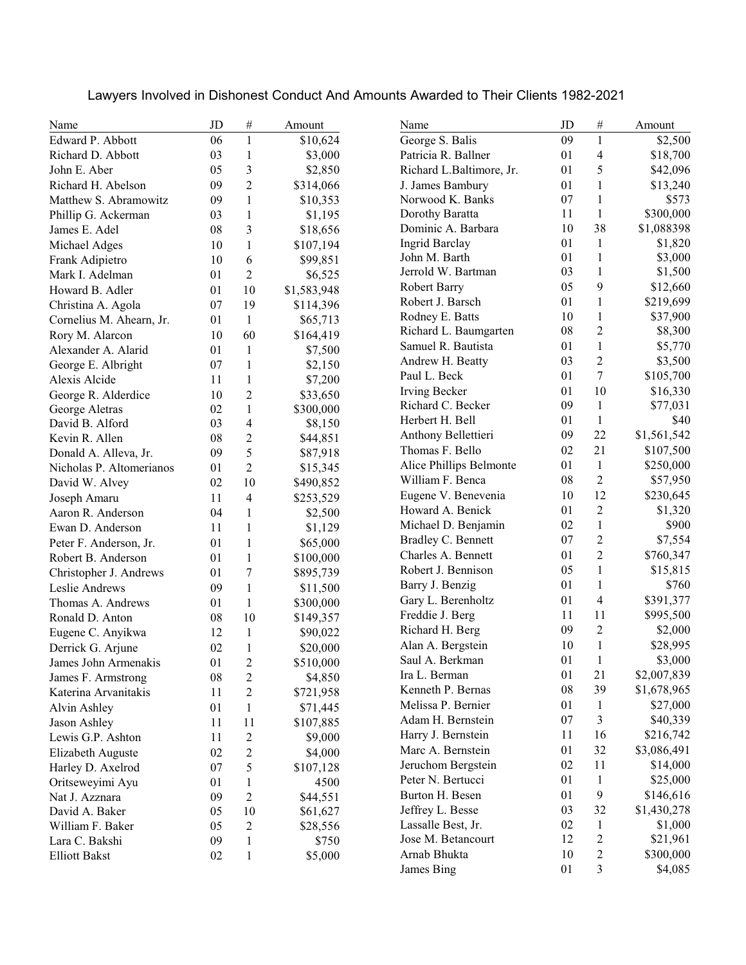| Lawyers Involved in Dishonest Conduct And Amounts Awarded to Their Clients 1982-2021 |  |
|--------------------------------------------------------------------------------------|--|
|--------------------------------------------------------------------------------------|--|

| Name                                     | JD         | $\#$                     | Amount      | Name                     | JD | $\#$                    | Amount      |
|------------------------------------------|------------|--------------------------|-------------|--------------------------|----|-------------------------|-------------|
| Edward P. Abbott                         | 06         | $\mathbf{1}$             | \$10,624    | George S. Balis          | 09 | $\mathbf{1}$            | \$2,500     |
| Richard D. Abbott                        | 03         | 1                        | \$3,000     | Patricia R. Ballner      | 01 | 4                       | \$18,700    |
| John E. Aber                             | 05         | 3                        | \$2,850     | Richard L.Baltimore, Jr. | 01 | 5                       | \$42,096    |
| Richard H. Abelson                       | 09         | 2                        | \$314,066   | J. James Bambury         | 01 | $\mathbf{1}$            | \$13,240    |
| Matthew S. Abramowitz                    | 09         | $\mathbf{1}$             | \$10,353    | Norwood K. Banks         | 07 | $\mathbf{1}$            | \$573       |
| Phillip G. Ackerman                      | 03         | 1                        | \$1,195     | Dorothy Baratta          | 11 | $\mathbf{1}$            | \$300,000   |
| James E. Adel                            | 08         | 3                        | \$18,656    | Dominic A. Barbara       | 10 | 38                      | \$1,088398  |
| Michael Adges                            | 10         | 1                        | \$107,194   | <b>Ingrid Barclay</b>    | 01 | $\mathbf{1}$            | \$1,820     |
| Frank Adipietro                          | 10         | 6                        | \$99,851    | John M. Barth            | 01 | $\mathbf{1}$            | \$3,000     |
| Mark I. Adelman                          | 01         | $\overline{2}$           | \$6,525     | Jerrold W. Bartman       | 03 | $\mathbf{1}$            | \$1,500     |
| Howard B. Adler                          | 01         | 10                       | \$1,583,948 | <b>Robert Barry</b>      | 05 | 9                       | \$12,660    |
| Christina A. Agola                       | 07         | 19                       | \$114,396   | Robert J. Barsch         | 01 | $\mathbf{1}$            | \$219,699   |
| Cornelius M. Ahearn, Jr.                 | 01         | $\mathbf{1}$             | \$65,713    | Rodney E. Batts          | 10 | $\mathbf{1}$            | \$37,900    |
| Rory M. Alarcon                          | 10         | 60                       | \$164,419   | Richard L. Baumgarten    | 08 | $\overline{c}$          | \$8,300     |
| Alexander A. Alarid                      | 01         | 1                        | \$7,500     | Samuel R. Bautista       | 01 | $\mathbf{1}$            | \$5,770     |
| George E. Albright                       | 07         | $\mathbf{1}$             | \$2,150     | Andrew H. Beatty         | 03 | $\overline{2}$          | \$3,500     |
| Alexis Alcide                            | 11         | $\mathbf{1}$             | \$7,200     | Paul L. Beck             | 01 | 7                       | \$105,700   |
| George R. Alderdice                      | 10         | $\overline{2}$           | \$33,650    | Irving Becker            | 01 | 10                      | \$16,330    |
| George Aletras                           | 02         | $\mathbf{1}$             | \$300,000   | Richard C. Becker        | 09 | $\mathbf{1}$            | \$77,031    |
| David B. Alford                          | 03         | $\overline{4}$           | \$8,150     | Herbert H. Bell          | 01 | $\mathbf{1}$            | \$40        |
| Kevin R. Allen                           | 08         | $\overline{2}$           | \$44,851    | Anthony Bellettieri      | 09 | 22                      | \$1,561,542 |
| Donald A. Alleva, Jr.                    | 09         | 5                        | \$87,918    | Thomas F. Bello          | 02 | 21                      | \$107,500   |
| Nicholas P. Altomerianos                 | 01         | $\overline{2}$           | \$15,345    | Alice Phillips Belmonte  | 01 | $\mathbf{1}$            | \$250,000   |
| David W. Alvey                           | 02         | 10                       | \$490,852   | William F. Benca         | 08 | $\overline{c}$          | \$57,950    |
| Joseph Amaru                             | 11         | $\overline{\mathcal{L}}$ | \$253,529   | Eugene V. Benevenia      | 10 | 12                      | \$230,645   |
| Aaron R. Anderson                        | 04         | 1                        | \$2,500     | Howard A. Benick         | 01 | $\overline{c}$          | \$1,320     |
| Ewan D. Anderson                         | 11         | $\mathbf{1}$             | \$1,129     | Michael D. Benjamin      | 02 | $\mathbf{1}$            | \$900       |
| Peter F. Anderson, Jr.                   | 01         | 1                        | \$65,000    | Bradley C. Bennett       | 07 | $\overline{2}$          | \$7,554     |
| Robert B. Anderson                       |            | 1                        |             | Charles A. Bennett       | 01 | $\overline{2}$          | \$760,347   |
|                                          | 01         | 7                        | \$100,000   | Robert J. Bennison       | 05 | $\mathbf{1}$            | \$15,815    |
| Christopher J. Andrews<br>Leslie Andrews | 01<br>09   | 1                        | \$895,739   | Barry J. Benzig          | 01 | $\mathbf{1}$            | \$760       |
|                                          | 01         | $\mathbf{1}$             | \$11,500    | Gary L. Berenholtz       | 01 | $\overline{\mathbf{4}}$ | \$391,377   |
| Thomas A. Andrews                        |            |                          | \$300,000   | Freddie J. Berg          | 11 | 11                      | \$995,500   |
| Ronald D. Anton                          | 08         | 10                       | \$149,357   | Richard H. Berg          | 09 | $\overline{c}$          | \$2,000     |
| Eugene C. Anyikwa                        | 12         | 1                        | \$90,022    | Alan A. Bergstein        | 10 | $\mathbf{1}$            | \$28,995    |
| Derrick G. Arjune                        | 02         | 1                        | \$20,000    | Saul A. Berkman          | 01 | 1                       | \$3,000     |
| James John Armenakis                     | 01         | $\overline{c}$           | \$510,000   | Ira L. Berman            | 01 | 21                      | \$2,007,839 |
| James F. Armstrong                       | ${\bf 08}$ | 2                        | \$4,850     | Kenneth P. Bernas        | 08 | 39                      | \$1,678,965 |
| Katerina Arvanitakis                     | 11         | 2                        | \$721,958   | Melissa P. Bernier       | 01 | $\mathbf{1}$            | \$27,000    |
| Alvin Ashley                             | 01         | $\mathbf{1}$             | \$71,445    | Adam H. Bernstein        | 07 | 3                       | \$40,339    |
| Jason Ashley                             | 11         | 11                       | \$107,885   | Harry J. Bernstein       | 11 | 16                      |             |
| Lewis G.P. Ashton                        | 11         | $\overline{c}$           | \$9,000     | Marc A. Bernstein        | 01 | 32                      | \$216,742   |
| Elizabeth Auguste                        | 02         | $\overline{c}$           | \$4,000     |                          |    |                         | \$3,086,491 |
| Harley D. Axelrod                        | 07         | 5                        | \$107,128   | Jeruchom Bergstein       | 02 | 11                      | \$14,000    |
| Oritseweyimi Ayu                         | 01         | 1                        | 4500        | Peter N. Bertucci        | 01 | $\mathbf{1}$            | \$25,000    |
| Nat J. Azznara                           | 09         | $\overline{c}$           | \$44,551    | Burton H. Besen          | 01 | 9                       | \$146,616   |
| David A. Baker                           | 05         | 10                       | \$61,627    | Jeffrey L. Besse         | 03 | 32                      | \$1,430,278 |
| William F. Baker                         | 05         | $\overline{c}$           | \$28,556    | Lassalle Best, Jr.       | 02 | $\mathbf{1}$            | \$1,000     |
| Lara C. Bakshi                           | 09         | $\mathbf{1}$             | \$750       | Jose M. Betancourt       | 12 | $\overline{c}$          | \$21,961    |
| <b>Elliott Bakst</b>                     | 02         | $\mathbf 1$              | \$5,000     | Arnab Bhukta             | 10 | $\overline{c}$          | \$300,000   |
|                                          |            |                          |             | James Bing               | 01 | 3                       | \$4,085     |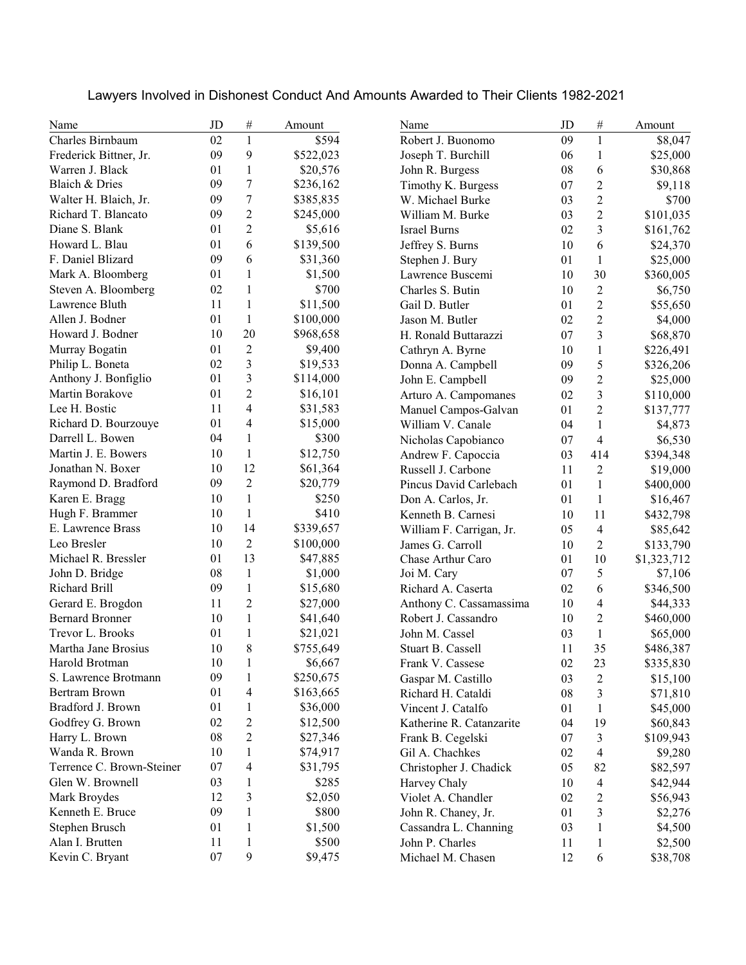| Name                      | JD         | $\#$             | Amount    | Name                     | JD     | $\#$                     | Amount      |
|---------------------------|------------|------------------|-----------|--------------------------|--------|--------------------------|-------------|
| Charles Birnbaum          | 02         | $\mathbf{1}$     | \$594     | Robert J. Buonomo        | 09     | $\mathbf{1}$             | \$8,047     |
| Frederick Bittner, Jr.    | 09         | 9                | \$522,023 | Joseph T. Burchill       | 06     | $\mathbf{1}$             | \$25,000    |
| Warren J. Black           | 01         | 1                | \$20,576  | John R. Burgess          | 08     | 6                        | \$30,868    |
| Blaich & Dries            | 09         | $\boldsymbol{7}$ | \$236,162 | Timothy K. Burgess       | 07     | $\overline{c}$           | \$9,118     |
| Walter H. Blaich, Jr.     | 09         | $\tau$           | \$385,835 | W. Michael Burke         | 03     | $\overline{c}$           | \$700       |
| Richard T. Blancato       | 09         | $\overline{2}$   | \$245,000 | William M. Burke         | 03     | $\overline{c}$           | \$101,035   |
| Diane S. Blank            | 01         | 2                | \$5,616   | <b>Israel Burns</b>      | 02     | 3                        | \$161,762   |
| Howard L. Blau            | 01         | 6                | \$139,500 | Jeffrey S. Burns         | 10     | 6                        | \$24,370    |
| F. Daniel Blizard         | 09         | 6                | \$31,360  | Stephen J. Bury          | 01     | 1                        | \$25,000    |
| Mark A. Bloomberg         | 01         | 1                | \$1,500   | Lawrence Buscemi         | 10     | 30                       | \$360,005   |
| Steven A. Bloomberg       | 02         | 1                | \$700     | Charles S. Butin         | 10     | $\overline{c}$           | \$6,750     |
| Lawrence Bluth            | 11         | 1                | \$11,500  | Gail D. Butler           | 01     | $\overline{2}$           | \$55,650    |
| Allen J. Bodner           | 01         | $\mathbf{1}$     | \$100,000 | Jason M. Butler          | 02     | $\overline{2}$           | \$4,000     |
| Howard J. Bodner          | 10         | 20               | \$968,658 | H. Ronald Buttarazzi     | 07     | 3                        | \$68,870    |
| Murray Bogatin            | 01         | $\overline{2}$   | \$9,400   | Cathryn A. Byrne         | 10     | $\mathbf{1}$             | \$226,491   |
| Philip L. Boneta          | 02         | $\mathfrak{Z}$   | \$19,533  | Donna A. Campbell        | 09     | 5                        | \$326,206   |
| Anthony J. Bonfiglio      | 01         | 3                | \$114,000 | John E. Campbell         | 09     | $\overline{2}$           | \$25,000    |
| Martin Borakove           | 01         | $\overline{c}$   | \$16,101  | Arturo A. Campomanes     | 02     | 3                        | \$110,000   |
| Lee H. Bostic             | 11         | 4                | \$31,583  | Manuel Campos-Galvan     | 01     | $\overline{2}$           | \$137,777   |
| Richard D. Bourzouye      | 01         | 4                | \$15,000  | William V. Canale        | 04     | $\mathbf{1}$             | \$4,873     |
| Darrell L. Bowen          | 04         | 1                | \$300     | Nicholas Capobianco      | 07     | $\overline{4}$           | \$6,530     |
| Martin J. E. Bowers       | 10         | 1                | \$12,750  | Andrew F. Capoccia       | 03     | 414                      | \$394,348   |
| Jonathan N. Boxer         | 10         | 12               | \$61,364  | Russell J. Carbone       | 11     | $\overline{c}$           | \$19,000    |
| Raymond D. Bradford       | 09         | $\overline{2}$   | \$20,779  | Pincus David Carlebach   | 01     | $\mathbf{1}$             | \$400,000   |
| Karen E. Bragg            | 10         | $\mathbf{1}$     | \$250     | Don A. Carlos, Jr.       | 01     | $\mathbf{1}$             | \$16,467    |
| Hugh F. Brammer           | 10         | 1                | \$410     | Kenneth B. Carnesi       | 10     | 11                       | \$432,798   |
| E. Lawrence Brass         | 10         | 14               | \$339,657 | William F. Carrigan, Jr. | 05     | 4                        | \$85,642    |
| Leo Bresler               | 10         | $\overline{2}$   | \$100,000 | James G. Carroll         | 10     | 2                        | \$133,790   |
| Michael R. Bressler       | 01         | 13               | \$47,885  | Chase Arthur Caro        | 01     | 10                       | \$1,323,712 |
| John D. Bridge            | 08         | $\mathbf{1}$     | \$1,000   | Joi M. Cary              | 07     | 5                        | \$7,106     |
| Richard Brill             | 09         | 1                | \$15,680  | Richard A. Caserta       | 02     | 6                        | \$346,500   |
| Gerard E. Brogdon         | 11         | 2                | \$27,000  | Anthony C. Cassamassima  | 10     | 4                        | \$44,333    |
| <b>Bernard Bronner</b>    | 10         | 1                | \$41,640  | Robert J. Cassandro      | 10     | 2                        | \$460,000   |
| Trevor L. Brooks          | 01         | 1                | \$21,021  | John M. Cassel           | 03     | $\mathbf{1}$             | \$65,000    |
| Martha Jane Brosius       | 10         | 8                | \$755,649 | Stuart B. Cassell        | 11     | 35                       | \$486,387   |
| Harold Brotman            | 10         | $\mathbf 1$      | \$6,667   | Frank V. Cassese         | $02\,$ | 23                       | \$335,830   |
| S. Lawrence Brotmann      | 09         | 1                | \$250,675 | Gaspar M. Castillo       | 03     | 2                        | \$15,100    |
| <b>Bertram Brown</b>      | 01         | 4                | \$163,665 | Richard H. Cataldi       | 08     | 3                        | \$71,810    |
| Bradford J. Brown         | 01         | 1                | \$36,000  | Vincent J. Catalfo       | 01     | $\mathbf{1}$             | \$45,000    |
| Godfrey G. Brown          | 02         | $\overline{c}$   | \$12,500  | Katherine R. Catanzarite | 04     | 19                       | \$60,843    |
| Harry L. Brown            | ${\bf 08}$ | $\overline{c}$   | \$27,346  | Frank B. Cegelski        | 07     | 3                        | \$109,943   |
| Wanda R. Brown            | 10         | 1                | \$74,917  | Gil A. Chachkes          | 02     | $\overline{\mathcal{L}}$ | \$9,280     |
| Terrence C. Brown-Steiner | 07         | $\overline{4}$   | \$31,795  | Christopher J. Chadick   | 05     | 82                       | \$82,597    |
| Glen W. Brownell          | 03         | 1                | \$285     | Harvey Chaly             | 10     | 4                        | \$42,944    |
| Mark Broydes              | 12         | 3                | \$2,050   | Violet A. Chandler       | 02     | $\overline{c}$           | \$56,943    |
| Kenneth E. Bruce          | 09         | 1                | \$800     | John R. Chaney, Jr.      | 01     | 3                        | \$2,276     |
| Stephen Brusch            | 01         | 1                | \$1,500   | Cassandra L. Channing    | 03     | $\mathbf{1}$             | \$4,500     |
| Alan I. Brutten           | 11         | 1                | \$500     | John P. Charles          | 11     | $\mathbf{1}$             | \$2,500     |
| Kevin C. Bryant           | 07         | 9                | \$9,475   | Michael M. Chasen        | 12     | 6                        | \$38,708    |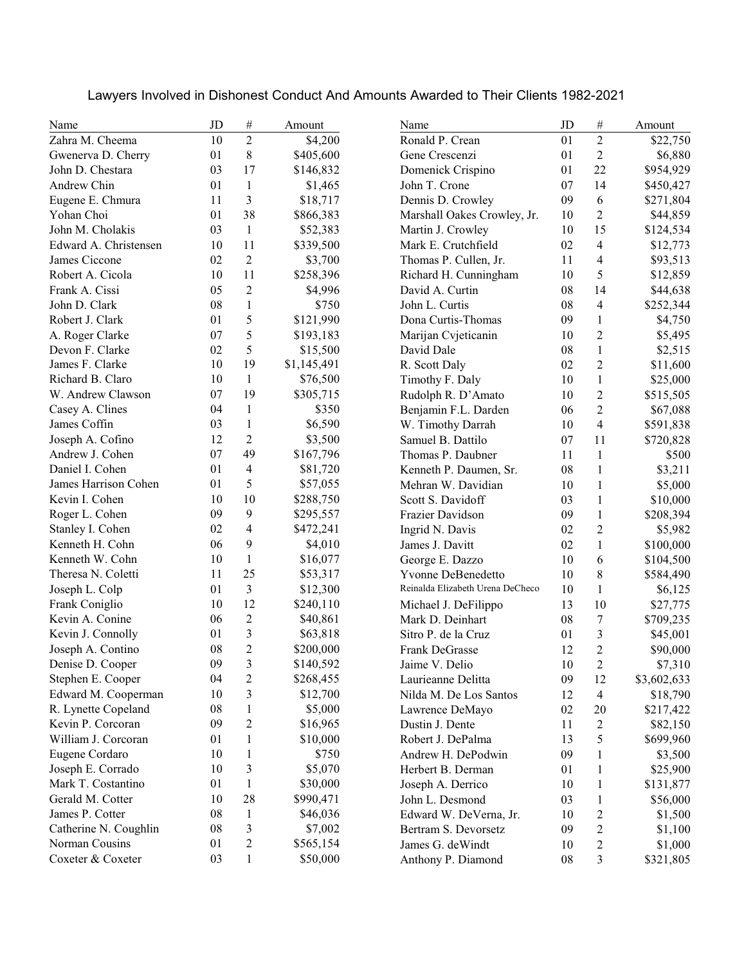| Name                  | JD | $\#$                     | Amount      | Name                             | JD         | $\#$                     | Amount      |
|-----------------------|----|--------------------------|-------------|----------------------------------|------------|--------------------------|-------------|
| Zahra M. Cheema       | 10 | $\overline{2}$           | \$4,200     | Ronald P. Crean                  | 01         | $\overline{2}$           | \$22,750    |
| Gwenerva D. Cherry    | 01 | 8                        | \$405,600   | Gene Crescenzi                   | 01         | $\overline{2}$           | \$6,880     |
| John D. Chestara      | 03 | 17                       | \$146,832   | Domenick Crispino                | 01         | 22                       | \$954,929   |
| Andrew Chin           | 01 | 1                        | \$1,465     | John T. Crone                    | 07         | 14                       | \$450,427   |
| Eugene E. Chmura      | 11 | 3                        | \$18,717    | Dennis D. Crowley                | 09         | 6                        | \$271,804   |
| Yohan Choi            | 01 | 38                       | \$866,383   | Marshall Oakes Crowley, Jr.      | 10         | $\overline{c}$           | \$44,859    |
| John M. Cholakis      | 03 | 1                        | \$52,383    | Martin J. Crowley                | 10         | 15                       | \$124,534   |
| Edward A. Christensen | 10 | 11                       | \$339,500   | Mark E. Crutchfield              | 02         | $\overline{\mathbf{4}}$  | \$12,773    |
| James Ciccone         | 02 | $\overline{2}$           | \$3,700     | Thomas P. Cullen, Jr.            | 11         | 4                        | \$93,513    |
| Robert A. Cicola      | 10 | 11                       | \$258,396   | Richard H. Cunningham            | 10         | 5                        | \$12,859    |
| Frank A. Cissi        | 05 | $\overline{2}$           | \$4,996     | David A. Curtin                  | 08         | 14                       | \$44,638    |
| John D. Clark         | 08 | 1                        | \$750       | John L. Curtis                   | 08         | 4                        | \$252,344   |
| Robert J. Clark       | 01 | 5                        | \$121,990   | Dona Curtis-Thomas               | 09         | 1                        | \$4,750     |
| A. Roger Clarke       | 07 | 5                        | \$193,183   | Marijan Cvjeticanin              | 10         | $\overline{c}$           | \$5,495     |
| Devon F. Clarke       | 02 | 5                        | \$15,500    | David Dale                       | 08         | $\mathbf{1}$             | \$2,515     |
| James F. Clarke       | 10 | 19                       | \$1,145,491 | R. Scott Daly                    | 02         | $\overline{2}$           | \$11,600    |
| Richard B. Claro      | 10 | $\mathbf{1}$             | \$76,500    | Timothy F. Daly                  | 10         | $\mathbf{1}$             | \$25,000    |
| W. Andrew Clawson     | 07 | 19                       | \$305,715   | Rudolph R. D'Amato               | 10         | $\mathfrak{2}$           | \$515,505   |
| Casey A. Clines       | 04 | $\mathbf{1}$             | \$350       | Benjamin F.L. Darden             | 06         | $\overline{c}$           | \$67,088    |
| James Coffin          | 03 | $\mathbf{1}$             | \$6,590     | W. Timothy Darrah                | 10         | $\overline{\mathcal{L}}$ | \$591,838   |
| Joseph A. Cofino      | 12 | $\overline{2}$           | \$3,500     | Samuel B. Dattilo                | 07         | 11                       | \$720,828   |
| Andrew J. Cohen       | 07 | 49                       | \$167,796   | Thomas P. Daubner                | 11         | $\mathbf{1}$             | \$500       |
| Daniel I. Cohen       | 01 | $\overline{\mathcal{L}}$ | \$81,720    | Kenneth P. Daumen, Sr.           | 08         | $\mathbf{1}$             | \$3,211     |
| James Harrison Cohen  | 01 | 5                        | \$57,055    | Mehran W. Davidian               | 10         | $\mathbf{1}$             | \$5,000     |
| Kevin I. Cohen        | 10 | 10                       | \$288,750   | Scott S. Davidoff                | 03         | $\mathbf{1}$             | \$10,000    |
| Roger L. Cohen        | 09 | 9                        | \$295,557   | Frazier Davidson                 | 09         | $\mathbf{1}$             | \$208,394   |
| Stanley I. Cohen      | 02 | 4                        | \$472,241   | Ingrid N. Davis                  | 02         | $\mathfrak{2}$           | \$5,982     |
| Kenneth H. Cohn       | 06 | 9                        | \$4,010     | James J. Davitt                  | 02         | $\mathbf{1}$             | \$100,000   |
| Kenneth W. Cohn       | 10 | 1                        | \$16,077    | George E. Dazzo                  | 10         | 6                        | \$104,500   |
| Theresa N. Coletti    | 11 | 25                       | \$53,317    | <b>Yvonne DeBenedetto</b>        | 10         | $\,8\,$                  | \$584,490   |
| Joseph L. Colp        | 01 | 3                        | \$12,300    | Reinalda Elizabeth Urena DeCheco | 10         | $\mathbf{1}$             | \$6,125     |
| Frank Coniglio        | 10 | 12                       | \$240,110   | Michael J. DeFilippo             | 13         | 10                       | \$27,775    |
| Kevin A. Conine       | 06 | $\overline{c}$           | \$40,861    | Mark D. Deinhart                 | 08         | $\boldsymbol{7}$         | \$709,235   |
| Kevin J. Connolly     | 01 | 3                        | \$63,818    | Sitro P. de la Cruz              | 01         | 3                        | \$45,001    |
| Joseph A. Contino     | 08 | $\overline{2}$           | \$200,000   | Frank DeGrasse                   | 12         | $\overline{2}$           | \$90,000    |
| Denise D. Cooper      | 09 | 3                        | \$140,592   | Jaime V. Delio                   | $10\,$     | $\mathfrak{2}$           | \$7,310     |
| Stephen E. Cooper     | 04 | $\overline{c}$           | \$268,455   | Laurieanne Delitta               | 09         | 12                       | \$3,602,633 |
| Edward M. Cooperman   | 10 | 3                        | \$12,700    | Nilda M. De Los Santos           | 12         | $\overline{\mathbf{4}}$  | \$18,790    |
| R. Lynette Copeland   | 08 | $\mathbf{1}$             | \$5,000     | Lawrence DeMayo                  | $02\,$     | 20                       | \$217,422   |
| Kevin P. Corcoran     | 09 | $\overline{c}$           | \$16,965    | Dustin J. Dente                  | 11         | $\overline{c}$           | \$82,150    |
| William J. Corcoran   | 01 | $\mathbf{1}$             | \$10,000    | Robert J. DePalma                | 13         | 5                        | \$699,960   |
| Eugene Cordaro        | 10 | 1                        | \$750       | Andrew H. DePodwin               | 09         | $\mathbf{1}$             | \$3,500     |
| Joseph E. Corrado     | 10 | 3                        | \$5,070     | Herbert B. Derman                | 01         | $\mathbf{1}$             | \$25,900    |
| Mark T. Costantino    | 01 | $\mathbf{1}$             | \$30,000    | Joseph A. Derrico                | 10         | $\mathbf{1}$             | \$131,877   |
| Gerald M. Cotter      | 10 | 28                       | \$990,471   | John L. Desmond                  | 03         | $\mathbf{1}$             | \$56,000    |
| James P. Cotter       | 08 | $\mathbf{1}$             | \$46,036    | Edward W. DeVerna, Jr.           | 10         | $\overline{c}$           | \$1,500     |
| Catherine N. Coughlin | 08 | 3                        | \$7,002     | Bertram S. Devorsetz             | 09         | $\overline{c}$           | \$1,100     |
| Norman Cousins        | 01 | 2                        | \$565,154   | James G. de Windt                | 10         | $\overline{c}$           | \$1,000     |
| Coxeter & Coxeter     | 03 | 1                        | \$50,000    | Anthony P. Diamond               | ${\bf 08}$ | 3                        | \$321,805   |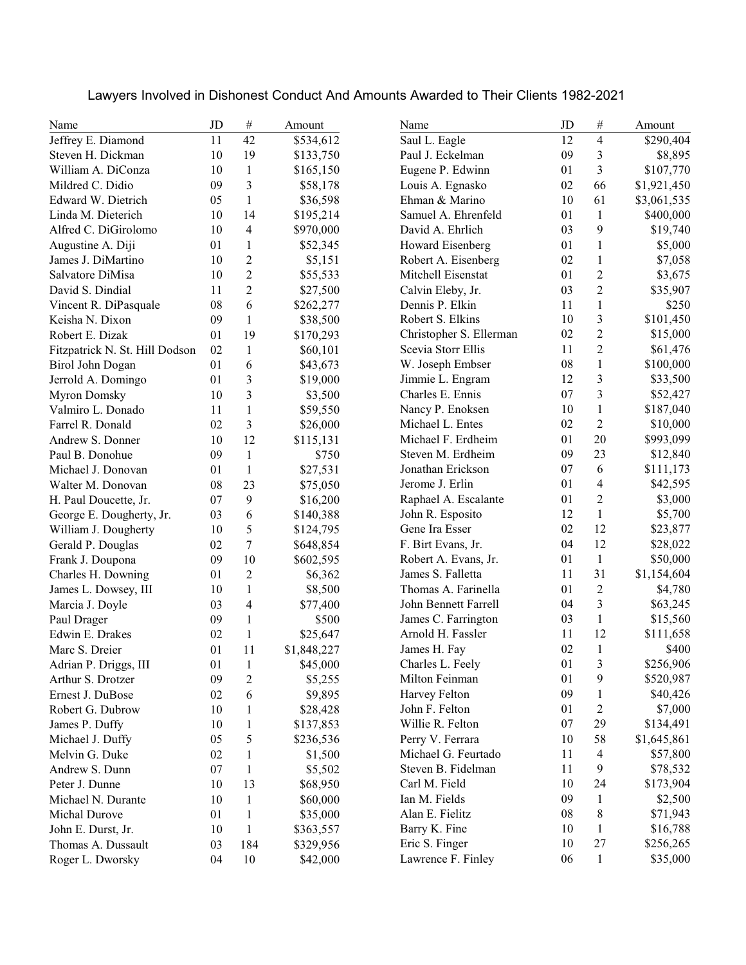| Name                           | JD | $\#$                    | Amount      | Name                    | JD | $\#$           | Amount      |
|--------------------------------|----|-------------------------|-------------|-------------------------|----|----------------|-------------|
| Jeffrey E. Diamond             | 11 | 42                      | \$534,612   | Saul L. Eagle           | 12 | $\overline{4}$ | \$290,404   |
| Steven H. Dickman              | 10 | 19                      | \$133,750   | Paul J. Eckelman        | 09 | 3              | \$8,895     |
| William A. DiConza             | 10 | $\mathbf{1}$            | \$165,150   | Eugene P. Edwinn        | 01 | 3              | \$107,770   |
| Mildred C. Didio               | 09 | 3                       | \$58,178    | Louis A. Egnasko        | 02 | 66             | \$1,921,450 |
| Edward W. Dietrich             | 05 | $\mathbf{1}$            | \$36,598    | Ehman & Marino          | 10 | 61             | \$3,061,535 |
| Linda M. Dieterich             | 10 | 14                      | \$195,214   | Samuel A. Ehrenfeld     | 01 | $\mathbf{1}$   | \$400,000   |
| Alfred C. DiGirolomo           | 10 | 4                       | \$970,000   | David A. Ehrlich        | 03 | 9              | \$19,740    |
| Augustine A. Diji              | 01 | 1                       | \$52,345    | Howard Eisenberg        | 01 | $\mathbf{1}$   | \$5,000     |
| James J. DiMartino             | 10 | 2                       | \$5,151     | Robert A. Eisenberg     | 02 | $\mathbf{1}$   | \$7,058     |
| Salvatore DiMisa               | 10 | 2                       | \$55,533    | Mitchell Eisenstat      | 01 | $\overline{2}$ | \$3,675     |
| David S. Dindial               | 11 | $\overline{c}$          | \$27,500    | Calvin Eleby, Jr.       | 03 | $\overline{2}$ | \$35,907    |
| Vincent R. DiPasquale          | 08 | 6                       | \$262,277   | Dennis P. Elkin         | 11 | $\mathbf{1}$   | \$250       |
| Keisha N. Dixon                | 09 | 1                       | \$38,500    | Robert S. Elkins        | 10 | 3              | \$101,450   |
| Robert E. Dizak                | 01 | 19                      | \$170,293   | Christopher S. Ellerman | 02 | $\overline{2}$ | \$15,000    |
| Fitzpatrick N. St. Hill Dodson | 02 | 1                       | \$60,101    | Scevia Storr Ellis      | 11 | $\overline{c}$ | \$61,476    |
| Birol John Dogan               | 01 | 6                       | \$43,673    | W. Joseph Embser        | 08 | $\mathbf{1}$   | \$100,000   |
| Jerrold A. Domingo             | 01 | $\overline{\mathbf{3}}$ | \$19,000    | Jimmie L. Engram        | 12 | 3              | \$33,500    |
| Myron Domsky                   | 10 | 3                       | \$3,500     | Charles E. Ennis        | 07 | 3              | \$52,427    |
| Valmiro L. Donado              | 11 | $\mathbf{1}$            | \$59,550    | Nancy P. Enoksen        | 10 | $\mathbf{1}$   | \$187,040   |
| Farrel R. Donald               | 02 | 3                       | \$26,000    | Michael L. Entes        | 02 | $\overline{2}$ | \$10,000    |
| Andrew S. Donner               | 10 | 12                      | \$115,131   | Michael F. Erdheim      | 01 | 20             | \$993,099   |
| Paul B. Donohue                | 09 | $\mathbf{1}$            | \$750       | Steven M. Erdheim       | 09 | 23             | \$12,840    |
| Michael J. Donovan             | 01 | $\mathbf{1}$            | \$27,531    | Jonathan Erickson       | 07 | 6              | \$111,173   |
| Walter M. Donovan              | 08 | 23                      | \$75,050    | Jerome J. Erlin         | 01 | 4              | \$42,595    |
| H. Paul Doucette, Jr.          | 07 | 9                       | \$16,200    | Raphael A. Escalante    | 01 | $\overline{c}$ | \$3,000     |
| George E. Dougherty, Jr.       | 03 | 6                       | \$140,388   | John R. Esposito        | 12 | $\mathbf{1}$   | \$5,700     |
| William J. Dougherty           | 10 | 5                       | \$124,795   | Gene Ira Esser          | 02 | 12             | \$23,877    |
| Gerald P. Douglas              | 02 | $\tau$                  | \$648,854   | F. Birt Evans, Jr.      | 04 | 12             | \$28,022    |
| Frank J. Doupona               | 09 | 10                      | \$602,595   | Robert A. Evans, Jr.    | 01 | $\mathbf{1}$   | \$50,000    |
| Charles H. Downing             | 01 | $\overline{2}$          | \$6,362     | James S. Falletta       | 11 | 31             | \$1,154,604 |
| James L. Dowsey, III           | 10 | 1                       | \$8,500     | Thomas A. Farinella     | 01 | $\overline{c}$ | \$4,780     |
| Marcia J. Doyle                | 03 | 4                       | \$77,400    | John Bennett Farrell    | 04 | 3              | \$63,245    |
| Paul Drager                    | 09 | 1                       | \$500       | James C. Farrington     | 03 | $\mathbf{1}$   | \$15,560    |
| Edwin E. Drakes                | 02 | 1                       | \$25,647    | Arnold H. Fassler       | 11 | 12             | \$111,658   |
| Marc S. Dreier                 | 01 | 11                      | \$1,848,227 | James H. Fay            | 02 | $\mathbf{1}$   | \$400       |
| Adrian P. Driggs, III          | 01 | $\mathbf{1}$            | \$45,000    | Charles L. Feely        | 01 | 3              | \$256,906   |
| Arthur S. Drotzer              | 09 | $\overline{c}$          | \$5,255     | Milton Feinman          | 01 | 9              | \$520,987   |
| Ernest J. DuBose               | 02 | 6                       | \$9,895     | Harvey Felton           | 09 | $\mathbf{1}$   | \$40,426    |
| Robert G. Dubrow               | 10 | $\mathbf{1}$            | \$28,428    | John F. Felton          | 01 | $\overline{c}$ | \$7,000     |
| James P. Duffy                 | 10 | 1                       | \$137,853   | Willie R. Felton        | 07 | 29             | \$134,491   |
| Michael J. Duffy               | 05 | 5                       | \$236,536   | Perry V. Ferrara        | 10 | 58             | \$1,645,861 |
| Melvin G. Duke                 | 02 | $\mathbf{1}$            | \$1,500     | Michael G. Feurtado     | 11 | $\overline{4}$ | \$57,800    |
| Andrew S. Dunn                 | 07 | $\mathbf{1}$            | \$5,502     | Steven B. Fidelman      | 11 | 9              | \$78,532    |
| Peter J. Dunne                 | 10 | 13                      | \$68,950    | Carl M. Field           | 10 | 24             | \$173,904   |
| Michael N. Durante             | 10 | $\mathbf{1}$            | \$60,000    | Ian M. Fields           | 09 | $\mathbf{1}$   | \$2,500     |
| Michal Durove                  | 01 | 1                       | \$35,000    | Alan E. Fielitz         | 08 | $\,8\,$        | \$71,943    |
| John E. Durst, Jr.             | 10 | 1                       | \$363,557   | Barry K. Fine           | 10 | $\mathbf{1}$   | \$16,788    |
| Thomas A. Dussault             | 03 | 184                     | \$329,956   | Eric S. Finger          | 10 | $27\,$         | \$256,265   |
| Roger L. Dworsky               | 04 | 10                      | \$42,000    | Lawrence F. Finley      | 06 | $\mathbf{1}$   | \$35,000    |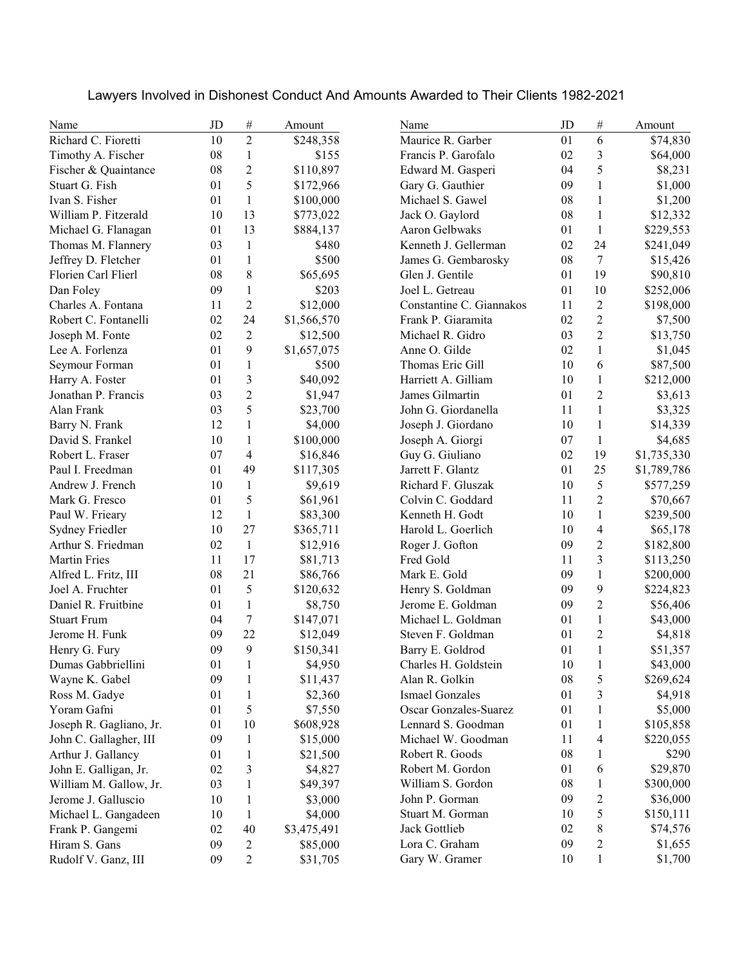| Name                    | JD | $\#$                     | Amount      | Name                         | JD | #              | Amount      |
|-------------------------|----|--------------------------|-------------|------------------------------|----|----------------|-------------|
| Richard C. Fioretti     | 10 | $\overline{c}$           | \$248,358   | Maurice R. Garber            | 01 | 6              | \$74,830    |
| Timothy A. Fischer      | 08 | $\mathbf{1}$             | \$155       | Francis P. Garofalo          | 02 | 3              | \$64,000    |
| Fischer & Quaintance    | 08 | $\overline{2}$           | \$110,897   | Edward M. Gasperi            | 04 | 5              | \$8,231     |
| Stuart G. Fish          | 01 | 5                        | \$172,966   | Gary G. Gauthier             | 09 | $\mathbf{1}$   | \$1,000     |
| Ivan S. Fisher          | 01 | $\mathbf{1}$             | \$100,000   | Michael S. Gawel             | 08 | $\mathbf{1}$   | \$1,200     |
| William P. Fitzerald    | 10 | 13                       | \$773,022   | Jack O. Gaylord              | 08 | $\mathbf{1}$   | \$12,332    |
| Michael G. Flanagan     | 01 | 13                       | \$884,137   | Aaron Gelbwaks               | 01 | $\mathbf{1}$   | \$229,553   |
| Thomas M. Flannery      | 03 | 1                        | \$480       | Kenneth J. Gellerman         | 02 | 24             | \$241,049   |
| Jeffrey D. Fletcher     | 01 | 1                        | \$500       | James G. Gembarosky          | 08 | 7              | \$15,426    |
| Florien Carl Flierl     | 08 | 8                        | \$65,695    | Glen J. Gentile              | 01 | 19             | \$90,810    |
| Dan Foley               | 09 | 1                        | \$203       | Joel L. Getreau              | 01 | 10             | \$252,006   |
| Charles A. Fontana      | 11 | $\overline{2}$           | \$12,000    | Constantine C. Giannakos     | 11 | $\overline{c}$ | \$198,000   |
| Robert C. Fontanelli    | 02 | 24                       | \$1,566,570 | Frank P. Giaramita           | 02 | $\overline{c}$ | \$7,500     |
| Joseph M. Fonte         | 02 | $\overline{2}$           | \$12,500    | Michael R. Gidro             | 03 | $\overline{c}$ | \$13,750    |
| Lee A. Forlenza         | 01 | 9                        | \$1,657,075 | Anne O. Gilde                | 02 | $\mathbf{1}$   | \$1,045     |
| Seymour Forman          | 01 | $\mathbf{1}$             | \$500       | Thomas Eric Gill             | 10 | 6              | \$87,500    |
| Harry A. Foster         | 01 | 3                        | \$40,092    | Harriett A. Gilliam          | 10 | $\mathbf{1}$   | \$212,000   |
| Jonathan P. Francis     | 03 | $\overline{2}$           | \$1,947     | James Gilmartin              | 01 | $\overline{c}$ | \$3,613     |
| Alan Frank              | 03 | 5                        | \$23,700    | John G. Giordanella          | 11 | $\mathbf{1}$   | \$3,325     |
| Barry N. Frank          | 12 | $\mathbf{1}$             | \$4,000     | Joseph J. Giordano           | 10 | 1              | \$14,339    |
| David S. Frankel        | 10 | $\mathbf{1}$             | \$100,000   | Joseph A. Giorgi             | 07 | $\mathbf{1}$   | \$4,685     |
| Robert L. Fraser        | 07 | $\overline{\mathcal{A}}$ | \$16,846    | Guy G. Giuliano              | 02 | 19             | \$1,735,330 |
| Paul I. Freedman        | 01 | 49                       | \$117,305   | Jarrett F. Glantz            | 01 | 25             | \$1,789,786 |
| Andrew J. French        | 10 | $\mathbf{1}$             | \$9,619     | Richard F. Gluszak           | 10 | 5              | \$577,259   |
| Mark G. Fresco          | 01 | 5                        | \$61,961    | Colvin C. Goddard            | 11 | $\overline{c}$ | \$70,667    |
| Paul W. Frieary         | 12 | $\mathbf{1}$             | \$83,300    | Kenneth H. Godt              | 10 | $\mathbf{1}$   | \$239,500   |
| Sydney Friedler         | 10 | 27                       | \$365,711   | Harold L. Goerlich           | 10 | 4              | \$65,178    |
| Arthur S. Friedman      | 02 | $\mathbf{1}$             | \$12,916    | Roger J. Gofton              | 09 | $\overline{c}$ | \$182,800   |
| <b>Martin Fries</b>     | 11 | 17                       | \$81,713    | Fred Gold                    | 11 | 3              | \$113,250   |
| Alfred L. Fritz, III    | 08 | 21                       | \$86,766    | Mark E. Gold                 | 09 | $\mathbf{1}$   | \$200,000   |
| Joel A. Fruchter        | 01 | 5                        | \$120,632   | Henry S. Goldman             | 09 | 9              | \$224,823   |
| Daniel R. Fruitbine     | 01 | 1                        | \$8,750     | Jerome E. Goldman            | 09 | $\overline{c}$ | \$56,406    |
| <b>Stuart Frum</b>      | 04 | $\tau$                   | \$147,071   | Michael L. Goldman           | 01 | $\mathbf{1}$   | \$43,000    |
| Jerome H. Funk          | 09 | 22                       | \$12,049    | Steven F. Goldman            | 01 | $\overline{c}$ | \$4,818     |
| Henry G. Fury           | 09 | 9                        | \$150,341   | Barry E. Goldrod             | 01 | $\mathbf{1}$   | \$51,357    |
| Dumas Gabbriellini      | 01 | $\mathbf{1}$             | \$4,950     | Charles H. Goldstein         | 10 | $\,1\,$        | \$43,000    |
| Wayne K. Gabel          | 09 | $\mathbf{1}$             | \$11,437    | Alan R. Golkin               | 08 | 5              | \$269,624   |
| Ross M. Gadye           | 01 | $\mathbf{1}$             | \$2,360     | <b>Ismael Gonzales</b>       | 01 | 3              | \$4,918     |
| Yoram Gafni             | 01 | 5                        | \$7,550     | <b>Oscar Gonzales-Suarez</b> | 01 | $\mathbf{1}$   | \$5,000     |
| Joseph R. Gagliano, Jr. | 01 | 10                       | \$608,928   | Lennard S. Goodman           | 01 | $\mathbf{1}$   | \$105,858   |
| John C. Gallagher, III  | 09 | 1                        | \$15,000    | Michael W. Goodman           | 11 | 4              | \$220,055   |
| Arthur J. Gallancy      | 01 | 1                        | \$21,500    | Robert R. Goods              | 08 | 1              | \$290       |
| John E. Galligan, Jr.   | 02 | 3                        | \$4,827     | Robert M. Gordon             | 01 | 6              | \$29,870    |
| William M. Gallow, Jr.  | 03 | $\mathbf{1}$             | \$49,397    | William S. Gordon            | 08 | $\mathbf{1}$   | \$300,000   |
| Jerome J. Galluscio     | 10 | 1                        | \$3,000     | John P. Gorman               | 09 | $\overline{c}$ | \$36,000    |
| Michael L. Gangadeen    | 10 | 1                        | \$4,000     | Stuart M. Gorman             | 10 | 5              | \$150,111   |
| Frank P. Gangemi        | 02 | 40                       | \$3,475,491 | Jack Gottlieb                | 02 | 8              | \$74,576    |
| Hiram S. Gans           | 09 | 2                        | \$85,000    | Lora C. Graham               | 09 | $\overline{c}$ | \$1,655     |
| Rudolf V. Ganz, III     | 09 | 2                        | \$31,705    | Gary W. Gramer               | 10 | $\mathbf{1}$   | \$1,700     |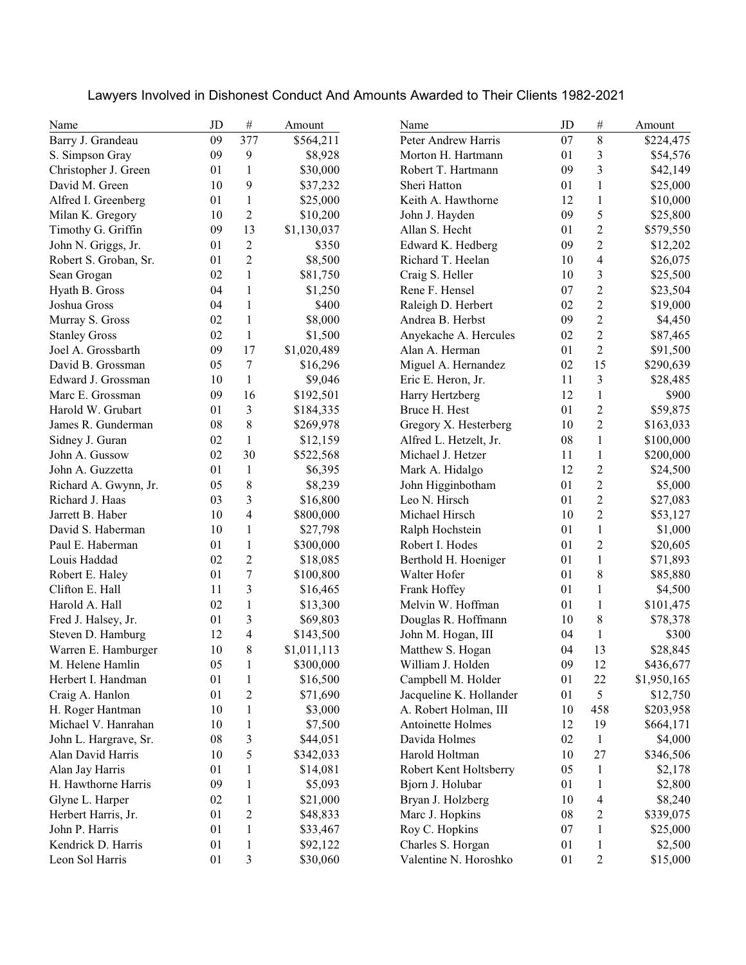| $\,8\,$<br>09<br>377<br>07<br>\$224,475<br>\$564,211<br>Peter Andrew Harris<br>3<br>09<br>9<br>01<br>\$8,928<br>Morton H. Hartmann<br>\$54,576<br>3<br>$\mathbf{1}$<br>Robert T. Hartmann<br>09<br>\$42,149<br>01<br>\$30,000<br>9<br>$\mathbf{1}$<br>10<br>01<br>\$37,232<br>Sheri Hatton<br>\$25,000<br>$\mathbf{1}$<br>$\,1$<br>01<br>\$25,000<br>Keith A. Hawthorne<br>12<br>\$10,000<br>$\overline{2}$<br>5<br>09<br>10<br>John J. Hayden<br>\$10,200<br>\$25,800<br>$\boldsymbol{2}$<br>13<br>09<br>Allan S. Hecht<br>01<br>\$1,130,037<br>\$579,550<br>$\sqrt{2}$<br>$\mathfrak{2}$<br>John N. Griggs, Jr.<br>01<br>Edward K. Hedberg<br>09<br>\$350<br>\$12,202<br>$\overline{2}$<br>$\overline{4}$<br>Robert S. Groban, Sr.<br>01<br>\$8,500<br>Richard T. Heelan<br>10<br>\$26,075<br>$\mathbf{1}$<br>3<br>02<br>10<br>Sean Grogan<br>\$81,750<br>Craig S. Heller<br>\$25,500<br>$\sqrt{2}$<br>Hyath B. Gross<br>$\mathbf{1}$<br>Rene F. Hensel<br>07<br>04<br>\$1,250<br>\$23,504<br>$\sqrt{2}$<br>$\mathbf{1}$<br>Joshua Gross<br>04<br>\$400<br>Raleigh D. Herbert<br>02<br>\$19,000<br>$\sqrt{2}$<br>$\mathbf{1}$<br>\$8,000<br>09<br>Murray S. Gross<br>02<br>Andrea B. Herbst<br>\$4,450<br>$\overline{2}$<br>02<br>$\mathbf{1}$<br>02<br><b>Stanley Gross</b><br>\$1,500<br>Anyekache A. Hercules<br>\$87,465<br>$\sqrt{2}$<br>Joel A. Grossbarth<br>09<br>17<br>Alan A. Herman<br>01<br>\$1,020,489<br>\$91,500<br>$\tau$<br>15<br>David B. Grossman<br>05<br>Miguel A. Hernandez<br>02<br>\$16,296<br>\$290,639<br>$\mathfrak{Z}$<br>Edward J. Grossman<br>10<br>1<br>11<br>\$9,046<br>Eric E. Heron, Jr.<br>\$28,485<br>Marc E. Grossman<br>09<br>16<br>\$192,501<br>12<br>$\mathbf{1}$<br>\$900<br>Harry Hertzberg<br>3<br>$\boldsymbol{2}$<br>Harold W. Grubart<br>01<br>Bruce H. Hest<br>01<br>\$184,335<br>\$59,875<br>$\,$ 8 $\,$<br>$\sqrt{2}$<br>08<br>Gregory X. Hesterberg<br>10<br>James R. Gunderman<br>\$269,978<br>\$163,033<br>$\mathbf{1}$<br>Sidney J. Guran<br>02<br>\$12,159<br>Alfred L. Hetzelt, Jr.<br>08<br>$\mathbf{1}$<br>\$100,000<br>30<br>$\mathbf{1}$<br>John A. Gussow<br>02<br>Michael J. Hetzer<br>11<br>\$522,568<br>\$200,000<br>$\overline{2}$<br>01<br>$\mathbf{1}$<br>Mark A. Hidalgo<br>12<br>John A. Guzzetta<br>\$6,395<br>\$24,500<br>$\,$ 8 $\,$<br>$\overline{2}$<br>05<br>\$8,239<br>John Higginbotham<br>01<br>Richard A. Gwynn, Jr.<br>\$5,000<br>$\overline{2}$<br>3<br>Richard J. Haas<br>03<br>\$16,800<br>Leo N. Hirsch<br>01<br>\$27,083<br>$\overline{\mathbf{4}}$<br>$\sqrt{2}$<br>Jarrett B. Haber<br>10<br>Michael Hirsch<br>10<br>\$800,000<br>\$53,127<br>$\mathbf{1}$<br>David S. Haberman<br>10<br>$\mathbf{1}$<br>Ralph Hochstein<br>01<br>\$1,000<br>\$27,798<br>$\sqrt{2}$<br>Paul E. Haberman<br>01<br>$\mathbf{1}$<br>01<br>\$300,000<br>Robert I. Hodes<br>\$20,605<br>02<br>$\mathfrak{2}$<br>$\mathbf{1}$<br>Berthold H. Hoeniger<br>01<br>Louis Haddad<br>\$71,893<br>\$18,085<br>$\overline{7}$<br>$\,8\,$<br>01<br>01<br>Robert E. Haley<br>Walter Hofer<br>\$85,880<br>\$100,800<br>3<br>Frank Hoffey<br>$\mathbf{1}$<br>11<br>01<br>\$16,465<br>\$4,500<br>$\mathbf{1}$<br>$\mathbf{1}$<br>02<br>01<br>Melvin W. Hoffman<br>\$13,300<br>\$101,475<br>$\,8\,$<br>3<br>10<br>Fred J. Halsey, Jr.<br>01<br>Douglas R. Hoffmann<br>\$78,378<br>\$69,803<br>$\overline{4}$<br>$\mathbf{1}$<br>12<br>04<br>\$143,500<br>John M. Hogan, III<br>\$300<br>8<br>13<br>10<br>Matthew S. Hogan<br>04<br>\$28,845<br>\$1,011,113<br>\$300,000<br>\$436,677<br>05<br>William J. Holden<br>09<br>12<br>$\mathbf{1}$<br>01<br>Campbell M. Holder<br>01<br>22<br>\$1,950,165<br>\$16,500<br>1<br>5<br>01<br>$\overline{c}$<br>Jacqueline K. Hollander<br>01<br>\$71,690<br>\$12,750<br>10<br>A. Robert Holman, III<br>1<br>\$3,000<br>10<br>458<br>\$203,958<br>10<br>Antoinette Holmes<br>19<br>\$7,500<br>12<br>\$664,171<br>1<br>John L. Hargrave, Sr.<br>3<br>Davida Holmes<br>$\mathbf{1}$<br>08<br>\$44,051<br>02<br>\$4,000<br>5<br>10<br>Harold Holtman<br>10<br>27<br>Alan David Harris<br>\$342,033<br>\$346,506<br>Alan Jay Harris<br>01<br>Robert Kent Holtsberry<br>05<br>$\mathbf{1}$<br>1<br>\$14,081<br>\$2,178<br>H. Hawthorne Harris<br>09<br>\$5,093<br>Bjorn J. Holubar<br>01<br>$\mathbf{1}$<br>1<br>\$2,800<br>$\overline{4}$<br>Glyne L. Harper<br>02<br>$\mathbf{1}$<br>Bryan J. Holzberg<br>\$21,000<br>10<br>\$8,240<br>$\boldsymbol{2}$<br>$\overline{c}$<br>Herbert Harris, Jr.<br>01<br>Marc J. Hopkins<br>08<br>\$48,833<br>\$339,075<br>John P. Harris<br>01<br>$\mathbf{1}$<br>Roy C. Hopkins<br>07<br>$\mathbf{1}$<br>\$25,000<br>\$33,467<br>Kendrick D. Harris<br>01<br>Charles S. Horgan<br>01<br>$\mathbf{1}$<br>\$92,122<br>$\mathbf{1}$<br>\$2,500 | Name                 | JD | $\#$ | Amount   | Name                  | JD | #          | Amount   |
|---------------------------------------------------------------------------------------------------------------------------------------------------------------------------------------------------------------------------------------------------------------------------------------------------------------------------------------------------------------------------------------------------------------------------------------------------------------------------------------------------------------------------------------------------------------------------------------------------------------------------------------------------------------------------------------------------------------------------------------------------------------------------------------------------------------------------------------------------------------------------------------------------------------------------------------------------------------------------------------------------------------------------------------------------------------------------------------------------------------------------------------------------------------------------------------------------------------------------------------------------------------------------------------------------------------------------------------------------------------------------------------------------------------------------------------------------------------------------------------------------------------------------------------------------------------------------------------------------------------------------------------------------------------------------------------------------------------------------------------------------------------------------------------------------------------------------------------------------------------------------------------------------------------------------------------------------------------------------------------------------------------------------------------------------------------------------------------------------------------------------------------------------------------------------------------------------------------------------------------------------------------------------------------------------------------------------------------------------------------------------------------------------------------------------------------------------------------------------------------------------------------------------------------------------------------------------------------------------------------------------------------------------------------------------------------------------------------------------------------------------------------------------------------------------------------------------------------------------------------------------------------------------------------------------------------------------------------------------------------------------------------------------------------------------------------------------------------------------------------------------------------------------------------------------------------------------------------------------------------------------------------------------------------------------------------------------------------------------------------------------------------------------------------------------------------------------------------------------------------------------------------------------------------------------------------------------------------------------------------------------------------------------------------------------------------------------------------------------------------------------------------------------------------------------------------------------------------------------------------------------------------------------------------------------------------------------------------------------------------------------------------------------------------------------------------------------------------------------------------------------------------------------------------------------------------------------------------------------------------------------------------------------------------------------------------------------------------------------------------------------------------------------------------------------------------------------------------------------------------------------------------------------------------------------------------------------------------------------------------------------------------------------------------------------------------------------------------------------------------------------------------------|----------------------|----|------|----------|-----------------------|----|------------|----------|
|                                                                                                                                                                                                                                                                                                                                                                                                                                                                                                                                                                                                                                                                                                                                                                                                                                                                                                                                                                                                                                                                                                                                                                                                                                                                                                                                                                                                                                                                                                                                                                                                                                                                                                                                                                                                                                                                                                                                                                                                                                                                                                                                                                                                                                                                                                                                                                                                                                                                                                                                                                                                                                                                                                                                                                                                                                                                                                                                                                                                                                                                                                                                                                                                                                                                                                                                                                                                                                                                                                                                                                                                                                                                                                                                                                                                                                                                                                                                                                                                                                                                                                                                                                                                                                                                                                                                                                                                                                                                                                                                                                                                                                                                                                                                                                     | Barry J. Grandeau    |    |      |          |                       |    |            |          |
|                                                                                                                                                                                                                                                                                                                                                                                                                                                                                                                                                                                                                                                                                                                                                                                                                                                                                                                                                                                                                                                                                                                                                                                                                                                                                                                                                                                                                                                                                                                                                                                                                                                                                                                                                                                                                                                                                                                                                                                                                                                                                                                                                                                                                                                                                                                                                                                                                                                                                                                                                                                                                                                                                                                                                                                                                                                                                                                                                                                                                                                                                                                                                                                                                                                                                                                                                                                                                                                                                                                                                                                                                                                                                                                                                                                                                                                                                                                                                                                                                                                                                                                                                                                                                                                                                                                                                                                                                                                                                                                                                                                                                                                                                                                                                                     | S. Simpson Gray      |    |      |          |                       |    |            |          |
|                                                                                                                                                                                                                                                                                                                                                                                                                                                                                                                                                                                                                                                                                                                                                                                                                                                                                                                                                                                                                                                                                                                                                                                                                                                                                                                                                                                                                                                                                                                                                                                                                                                                                                                                                                                                                                                                                                                                                                                                                                                                                                                                                                                                                                                                                                                                                                                                                                                                                                                                                                                                                                                                                                                                                                                                                                                                                                                                                                                                                                                                                                                                                                                                                                                                                                                                                                                                                                                                                                                                                                                                                                                                                                                                                                                                                                                                                                                                                                                                                                                                                                                                                                                                                                                                                                                                                                                                                                                                                                                                                                                                                                                                                                                                                                     | Christopher J. Green |    |      |          |                       |    |            |          |
|                                                                                                                                                                                                                                                                                                                                                                                                                                                                                                                                                                                                                                                                                                                                                                                                                                                                                                                                                                                                                                                                                                                                                                                                                                                                                                                                                                                                                                                                                                                                                                                                                                                                                                                                                                                                                                                                                                                                                                                                                                                                                                                                                                                                                                                                                                                                                                                                                                                                                                                                                                                                                                                                                                                                                                                                                                                                                                                                                                                                                                                                                                                                                                                                                                                                                                                                                                                                                                                                                                                                                                                                                                                                                                                                                                                                                                                                                                                                                                                                                                                                                                                                                                                                                                                                                                                                                                                                                                                                                                                                                                                                                                                                                                                                                                     | David M. Green       |    |      |          |                       |    |            |          |
|                                                                                                                                                                                                                                                                                                                                                                                                                                                                                                                                                                                                                                                                                                                                                                                                                                                                                                                                                                                                                                                                                                                                                                                                                                                                                                                                                                                                                                                                                                                                                                                                                                                                                                                                                                                                                                                                                                                                                                                                                                                                                                                                                                                                                                                                                                                                                                                                                                                                                                                                                                                                                                                                                                                                                                                                                                                                                                                                                                                                                                                                                                                                                                                                                                                                                                                                                                                                                                                                                                                                                                                                                                                                                                                                                                                                                                                                                                                                                                                                                                                                                                                                                                                                                                                                                                                                                                                                                                                                                                                                                                                                                                                                                                                                                                     | Alfred I. Greenberg  |    |      |          |                       |    |            |          |
|                                                                                                                                                                                                                                                                                                                                                                                                                                                                                                                                                                                                                                                                                                                                                                                                                                                                                                                                                                                                                                                                                                                                                                                                                                                                                                                                                                                                                                                                                                                                                                                                                                                                                                                                                                                                                                                                                                                                                                                                                                                                                                                                                                                                                                                                                                                                                                                                                                                                                                                                                                                                                                                                                                                                                                                                                                                                                                                                                                                                                                                                                                                                                                                                                                                                                                                                                                                                                                                                                                                                                                                                                                                                                                                                                                                                                                                                                                                                                                                                                                                                                                                                                                                                                                                                                                                                                                                                                                                                                                                                                                                                                                                                                                                                                                     | Milan K. Gregory     |    |      |          |                       |    |            |          |
|                                                                                                                                                                                                                                                                                                                                                                                                                                                                                                                                                                                                                                                                                                                                                                                                                                                                                                                                                                                                                                                                                                                                                                                                                                                                                                                                                                                                                                                                                                                                                                                                                                                                                                                                                                                                                                                                                                                                                                                                                                                                                                                                                                                                                                                                                                                                                                                                                                                                                                                                                                                                                                                                                                                                                                                                                                                                                                                                                                                                                                                                                                                                                                                                                                                                                                                                                                                                                                                                                                                                                                                                                                                                                                                                                                                                                                                                                                                                                                                                                                                                                                                                                                                                                                                                                                                                                                                                                                                                                                                                                                                                                                                                                                                                                                     | Timothy G. Griffin   |    |      |          |                       |    |            |          |
|                                                                                                                                                                                                                                                                                                                                                                                                                                                                                                                                                                                                                                                                                                                                                                                                                                                                                                                                                                                                                                                                                                                                                                                                                                                                                                                                                                                                                                                                                                                                                                                                                                                                                                                                                                                                                                                                                                                                                                                                                                                                                                                                                                                                                                                                                                                                                                                                                                                                                                                                                                                                                                                                                                                                                                                                                                                                                                                                                                                                                                                                                                                                                                                                                                                                                                                                                                                                                                                                                                                                                                                                                                                                                                                                                                                                                                                                                                                                                                                                                                                                                                                                                                                                                                                                                                                                                                                                                                                                                                                                                                                                                                                                                                                                                                     |                      |    |      |          |                       |    |            |          |
|                                                                                                                                                                                                                                                                                                                                                                                                                                                                                                                                                                                                                                                                                                                                                                                                                                                                                                                                                                                                                                                                                                                                                                                                                                                                                                                                                                                                                                                                                                                                                                                                                                                                                                                                                                                                                                                                                                                                                                                                                                                                                                                                                                                                                                                                                                                                                                                                                                                                                                                                                                                                                                                                                                                                                                                                                                                                                                                                                                                                                                                                                                                                                                                                                                                                                                                                                                                                                                                                                                                                                                                                                                                                                                                                                                                                                                                                                                                                                                                                                                                                                                                                                                                                                                                                                                                                                                                                                                                                                                                                                                                                                                                                                                                                                                     |                      |    |      |          |                       |    |            |          |
|                                                                                                                                                                                                                                                                                                                                                                                                                                                                                                                                                                                                                                                                                                                                                                                                                                                                                                                                                                                                                                                                                                                                                                                                                                                                                                                                                                                                                                                                                                                                                                                                                                                                                                                                                                                                                                                                                                                                                                                                                                                                                                                                                                                                                                                                                                                                                                                                                                                                                                                                                                                                                                                                                                                                                                                                                                                                                                                                                                                                                                                                                                                                                                                                                                                                                                                                                                                                                                                                                                                                                                                                                                                                                                                                                                                                                                                                                                                                                                                                                                                                                                                                                                                                                                                                                                                                                                                                                                                                                                                                                                                                                                                                                                                                                                     |                      |    |      |          |                       |    |            |          |
|                                                                                                                                                                                                                                                                                                                                                                                                                                                                                                                                                                                                                                                                                                                                                                                                                                                                                                                                                                                                                                                                                                                                                                                                                                                                                                                                                                                                                                                                                                                                                                                                                                                                                                                                                                                                                                                                                                                                                                                                                                                                                                                                                                                                                                                                                                                                                                                                                                                                                                                                                                                                                                                                                                                                                                                                                                                                                                                                                                                                                                                                                                                                                                                                                                                                                                                                                                                                                                                                                                                                                                                                                                                                                                                                                                                                                                                                                                                                                                                                                                                                                                                                                                                                                                                                                                                                                                                                                                                                                                                                                                                                                                                                                                                                                                     |                      |    |      |          |                       |    |            |          |
|                                                                                                                                                                                                                                                                                                                                                                                                                                                                                                                                                                                                                                                                                                                                                                                                                                                                                                                                                                                                                                                                                                                                                                                                                                                                                                                                                                                                                                                                                                                                                                                                                                                                                                                                                                                                                                                                                                                                                                                                                                                                                                                                                                                                                                                                                                                                                                                                                                                                                                                                                                                                                                                                                                                                                                                                                                                                                                                                                                                                                                                                                                                                                                                                                                                                                                                                                                                                                                                                                                                                                                                                                                                                                                                                                                                                                                                                                                                                                                                                                                                                                                                                                                                                                                                                                                                                                                                                                                                                                                                                                                                                                                                                                                                                                                     |                      |    |      |          |                       |    |            |          |
|                                                                                                                                                                                                                                                                                                                                                                                                                                                                                                                                                                                                                                                                                                                                                                                                                                                                                                                                                                                                                                                                                                                                                                                                                                                                                                                                                                                                                                                                                                                                                                                                                                                                                                                                                                                                                                                                                                                                                                                                                                                                                                                                                                                                                                                                                                                                                                                                                                                                                                                                                                                                                                                                                                                                                                                                                                                                                                                                                                                                                                                                                                                                                                                                                                                                                                                                                                                                                                                                                                                                                                                                                                                                                                                                                                                                                                                                                                                                                                                                                                                                                                                                                                                                                                                                                                                                                                                                                                                                                                                                                                                                                                                                                                                                                                     |                      |    |      |          |                       |    |            |          |
|                                                                                                                                                                                                                                                                                                                                                                                                                                                                                                                                                                                                                                                                                                                                                                                                                                                                                                                                                                                                                                                                                                                                                                                                                                                                                                                                                                                                                                                                                                                                                                                                                                                                                                                                                                                                                                                                                                                                                                                                                                                                                                                                                                                                                                                                                                                                                                                                                                                                                                                                                                                                                                                                                                                                                                                                                                                                                                                                                                                                                                                                                                                                                                                                                                                                                                                                                                                                                                                                                                                                                                                                                                                                                                                                                                                                                                                                                                                                                                                                                                                                                                                                                                                                                                                                                                                                                                                                                                                                                                                                                                                                                                                                                                                                                                     |                      |    |      |          |                       |    |            |          |
|                                                                                                                                                                                                                                                                                                                                                                                                                                                                                                                                                                                                                                                                                                                                                                                                                                                                                                                                                                                                                                                                                                                                                                                                                                                                                                                                                                                                                                                                                                                                                                                                                                                                                                                                                                                                                                                                                                                                                                                                                                                                                                                                                                                                                                                                                                                                                                                                                                                                                                                                                                                                                                                                                                                                                                                                                                                                                                                                                                                                                                                                                                                                                                                                                                                                                                                                                                                                                                                                                                                                                                                                                                                                                                                                                                                                                                                                                                                                                                                                                                                                                                                                                                                                                                                                                                                                                                                                                                                                                                                                                                                                                                                                                                                                                                     |                      |    |      |          |                       |    |            |          |
|                                                                                                                                                                                                                                                                                                                                                                                                                                                                                                                                                                                                                                                                                                                                                                                                                                                                                                                                                                                                                                                                                                                                                                                                                                                                                                                                                                                                                                                                                                                                                                                                                                                                                                                                                                                                                                                                                                                                                                                                                                                                                                                                                                                                                                                                                                                                                                                                                                                                                                                                                                                                                                                                                                                                                                                                                                                                                                                                                                                                                                                                                                                                                                                                                                                                                                                                                                                                                                                                                                                                                                                                                                                                                                                                                                                                                                                                                                                                                                                                                                                                                                                                                                                                                                                                                                                                                                                                                                                                                                                                                                                                                                                                                                                                                                     |                      |    |      |          |                       |    |            |          |
|                                                                                                                                                                                                                                                                                                                                                                                                                                                                                                                                                                                                                                                                                                                                                                                                                                                                                                                                                                                                                                                                                                                                                                                                                                                                                                                                                                                                                                                                                                                                                                                                                                                                                                                                                                                                                                                                                                                                                                                                                                                                                                                                                                                                                                                                                                                                                                                                                                                                                                                                                                                                                                                                                                                                                                                                                                                                                                                                                                                                                                                                                                                                                                                                                                                                                                                                                                                                                                                                                                                                                                                                                                                                                                                                                                                                                                                                                                                                                                                                                                                                                                                                                                                                                                                                                                                                                                                                                                                                                                                                                                                                                                                                                                                                                                     |                      |    |      |          |                       |    |            |          |
|                                                                                                                                                                                                                                                                                                                                                                                                                                                                                                                                                                                                                                                                                                                                                                                                                                                                                                                                                                                                                                                                                                                                                                                                                                                                                                                                                                                                                                                                                                                                                                                                                                                                                                                                                                                                                                                                                                                                                                                                                                                                                                                                                                                                                                                                                                                                                                                                                                                                                                                                                                                                                                                                                                                                                                                                                                                                                                                                                                                                                                                                                                                                                                                                                                                                                                                                                                                                                                                                                                                                                                                                                                                                                                                                                                                                                                                                                                                                                                                                                                                                                                                                                                                                                                                                                                                                                                                                                                                                                                                                                                                                                                                                                                                                                                     |                      |    |      |          |                       |    |            |          |
|                                                                                                                                                                                                                                                                                                                                                                                                                                                                                                                                                                                                                                                                                                                                                                                                                                                                                                                                                                                                                                                                                                                                                                                                                                                                                                                                                                                                                                                                                                                                                                                                                                                                                                                                                                                                                                                                                                                                                                                                                                                                                                                                                                                                                                                                                                                                                                                                                                                                                                                                                                                                                                                                                                                                                                                                                                                                                                                                                                                                                                                                                                                                                                                                                                                                                                                                                                                                                                                                                                                                                                                                                                                                                                                                                                                                                                                                                                                                                                                                                                                                                                                                                                                                                                                                                                                                                                                                                                                                                                                                                                                                                                                                                                                                                                     |                      |    |      |          |                       |    |            |          |
|                                                                                                                                                                                                                                                                                                                                                                                                                                                                                                                                                                                                                                                                                                                                                                                                                                                                                                                                                                                                                                                                                                                                                                                                                                                                                                                                                                                                                                                                                                                                                                                                                                                                                                                                                                                                                                                                                                                                                                                                                                                                                                                                                                                                                                                                                                                                                                                                                                                                                                                                                                                                                                                                                                                                                                                                                                                                                                                                                                                                                                                                                                                                                                                                                                                                                                                                                                                                                                                                                                                                                                                                                                                                                                                                                                                                                                                                                                                                                                                                                                                                                                                                                                                                                                                                                                                                                                                                                                                                                                                                                                                                                                                                                                                                                                     |                      |    |      |          |                       |    |            |          |
|                                                                                                                                                                                                                                                                                                                                                                                                                                                                                                                                                                                                                                                                                                                                                                                                                                                                                                                                                                                                                                                                                                                                                                                                                                                                                                                                                                                                                                                                                                                                                                                                                                                                                                                                                                                                                                                                                                                                                                                                                                                                                                                                                                                                                                                                                                                                                                                                                                                                                                                                                                                                                                                                                                                                                                                                                                                                                                                                                                                                                                                                                                                                                                                                                                                                                                                                                                                                                                                                                                                                                                                                                                                                                                                                                                                                                                                                                                                                                                                                                                                                                                                                                                                                                                                                                                                                                                                                                                                                                                                                                                                                                                                                                                                                                                     |                      |    |      |          |                       |    |            |          |
|                                                                                                                                                                                                                                                                                                                                                                                                                                                                                                                                                                                                                                                                                                                                                                                                                                                                                                                                                                                                                                                                                                                                                                                                                                                                                                                                                                                                                                                                                                                                                                                                                                                                                                                                                                                                                                                                                                                                                                                                                                                                                                                                                                                                                                                                                                                                                                                                                                                                                                                                                                                                                                                                                                                                                                                                                                                                                                                                                                                                                                                                                                                                                                                                                                                                                                                                                                                                                                                                                                                                                                                                                                                                                                                                                                                                                                                                                                                                                                                                                                                                                                                                                                                                                                                                                                                                                                                                                                                                                                                                                                                                                                                                                                                                                                     |                      |    |      |          |                       |    |            |          |
|                                                                                                                                                                                                                                                                                                                                                                                                                                                                                                                                                                                                                                                                                                                                                                                                                                                                                                                                                                                                                                                                                                                                                                                                                                                                                                                                                                                                                                                                                                                                                                                                                                                                                                                                                                                                                                                                                                                                                                                                                                                                                                                                                                                                                                                                                                                                                                                                                                                                                                                                                                                                                                                                                                                                                                                                                                                                                                                                                                                                                                                                                                                                                                                                                                                                                                                                                                                                                                                                                                                                                                                                                                                                                                                                                                                                                                                                                                                                                                                                                                                                                                                                                                                                                                                                                                                                                                                                                                                                                                                                                                                                                                                                                                                                                                     |                      |    |      |          |                       |    |            |          |
|                                                                                                                                                                                                                                                                                                                                                                                                                                                                                                                                                                                                                                                                                                                                                                                                                                                                                                                                                                                                                                                                                                                                                                                                                                                                                                                                                                                                                                                                                                                                                                                                                                                                                                                                                                                                                                                                                                                                                                                                                                                                                                                                                                                                                                                                                                                                                                                                                                                                                                                                                                                                                                                                                                                                                                                                                                                                                                                                                                                                                                                                                                                                                                                                                                                                                                                                                                                                                                                                                                                                                                                                                                                                                                                                                                                                                                                                                                                                                                                                                                                                                                                                                                                                                                                                                                                                                                                                                                                                                                                                                                                                                                                                                                                                                                     |                      |    |      |          |                       |    |            |          |
|                                                                                                                                                                                                                                                                                                                                                                                                                                                                                                                                                                                                                                                                                                                                                                                                                                                                                                                                                                                                                                                                                                                                                                                                                                                                                                                                                                                                                                                                                                                                                                                                                                                                                                                                                                                                                                                                                                                                                                                                                                                                                                                                                                                                                                                                                                                                                                                                                                                                                                                                                                                                                                                                                                                                                                                                                                                                                                                                                                                                                                                                                                                                                                                                                                                                                                                                                                                                                                                                                                                                                                                                                                                                                                                                                                                                                                                                                                                                                                                                                                                                                                                                                                                                                                                                                                                                                                                                                                                                                                                                                                                                                                                                                                                                                                     |                      |    |      |          |                       |    |            |          |
|                                                                                                                                                                                                                                                                                                                                                                                                                                                                                                                                                                                                                                                                                                                                                                                                                                                                                                                                                                                                                                                                                                                                                                                                                                                                                                                                                                                                                                                                                                                                                                                                                                                                                                                                                                                                                                                                                                                                                                                                                                                                                                                                                                                                                                                                                                                                                                                                                                                                                                                                                                                                                                                                                                                                                                                                                                                                                                                                                                                                                                                                                                                                                                                                                                                                                                                                                                                                                                                                                                                                                                                                                                                                                                                                                                                                                                                                                                                                                                                                                                                                                                                                                                                                                                                                                                                                                                                                                                                                                                                                                                                                                                                                                                                                                                     |                      |    |      |          |                       |    |            |          |
|                                                                                                                                                                                                                                                                                                                                                                                                                                                                                                                                                                                                                                                                                                                                                                                                                                                                                                                                                                                                                                                                                                                                                                                                                                                                                                                                                                                                                                                                                                                                                                                                                                                                                                                                                                                                                                                                                                                                                                                                                                                                                                                                                                                                                                                                                                                                                                                                                                                                                                                                                                                                                                                                                                                                                                                                                                                                                                                                                                                                                                                                                                                                                                                                                                                                                                                                                                                                                                                                                                                                                                                                                                                                                                                                                                                                                                                                                                                                                                                                                                                                                                                                                                                                                                                                                                                                                                                                                                                                                                                                                                                                                                                                                                                                                                     |                      |    |      |          |                       |    |            |          |
|                                                                                                                                                                                                                                                                                                                                                                                                                                                                                                                                                                                                                                                                                                                                                                                                                                                                                                                                                                                                                                                                                                                                                                                                                                                                                                                                                                                                                                                                                                                                                                                                                                                                                                                                                                                                                                                                                                                                                                                                                                                                                                                                                                                                                                                                                                                                                                                                                                                                                                                                                                                                                                                                                                                                                                                                                                                                                                                                                                                                                                                                                                                                                                                                                                                                                                                                                                                                                                                                                                                                                                                                                                                                                                                                                                                                                                                                                                                                                                                                                                                                                                                                                                                                                                                                                                                                                                                                                                                                                                                                                                                                                                                                                                                                                                     |                      |    |      |          |                       |    |            |          |
|                                                                                                                                                                                                                                                                                                                                                                                                                                                                                                                                                                                                                                                                                                                                                                                                                                                                                                                                                                                                                                                                                                                                                                                                                                                                                                                                                                                                                                                                                                                                                                                                                                                                                                                                                                                                                                                                                                                                                                                                                                                                                                                                                                                                                                                                                                                                                                                                                                                                                                                                                                                                                                                                                                                                                                                                                                                                                                                                                                                                                                                                                                                                                                                                                                                                                                                                                                                                                                                                                                                                                                                                                                                                                                                                                                                                                                                                                                                                                                                                                                                                                                                                                                                                                                                                                                                                                                                                                                                                                                                                                                                                                                                                                                                                                                     |                      |    |      |          |                       |    |            |          |
|                                                                                                                                                                                                                                                                                                                                                                                                                                                                                                                                                                                                                                                                                                                                                                                                                                                                                                                                                                                                                                                                                                                                                                                                                                                                                                                                                                                                                                                                                                                                                                                                                                                                                                                                                                                                                                                                                                                                                                                                                                                                                                                                                                                                                                                                                                                                                                                                                                                                                                                                                                                                                                                                                                                                                                                                                                                                                                                                                                                                                                                                                                                                                                                                                                                                                                                                                                                                                                                                                                                                                                                                                                                                                                                                                                                                                                                                                                                                                                                                                                                                                                                                                                                                                                                                                                                                                                                                                                                                                                                                                                                                                                                                                                                                                                     |                      |    |      |          |                       |    |            |          |
|                                                                                                                                                                                                                                                                                                                                                                                                                                                                                                                                                                                                                                                                                                                                                                                                                                                                                                                                                                                                                                                                                                                                                                                                                                                                                                                                                                                                                                                                                                                                                                                                                                                                                                                                                                                                                                                                                                                                                                                                                                                                                                                                                                                                                                                                                                                                                                                                                                                                                                                                                                                                                                                                                                                                                                                                                                                                                                                                                                                                                                                                                                                                                                                                                                                                                                                                                                                                                                                                                                                                                                                                                                                                                                                                                                                                                                                                                                                                                                                                                                                                                                                                                                                                                                                                                                                                                                                                                                                                                                                                                                                                                                                                                                                                                                     |                      |    |      |          |                       |    |            |          |
|                                                                                                                                                                                                                                                                                                                                                                                                                                                                                                                                                                                                                                                                                                                                                                                                                                                                                                                                                                                                                                                                                                                                                                                                                                                                                                                                                                                                                                                                                                                                                                                                                                                                                                                                                                                                                                                                                                                                                                                                                                                                                                                                                                                                                                                                                                                                                                                                                                                                                                                                                                                                                                                                                                                                                                                                                                                                                                                                                                                                                                                                                                                                                                                                                                                                                                                                                                                                                                                                                                                                                                                                                                                                                                                                                                                                                                                                                                                                                                                                                                                                                                                                                                                                                                                                                                                                                                                                                                                                                                                                                                                                                                                                                                                                                                     | Clifton E. Hall      |    |      |          |                       |    |            |          |
|                                                                                                                                                                                                                                                                                                                                                                                                                                                                                                                                                                                                                                                                                                                                                                                                                                                                                                                                                                                                                                                                                                                                                                                                                                                                                                                                                                                                                                                                                                                                                                                                                                                                                                                                                                                                                                                                                                                                                                                                                                                                                                                                                                                                                                                                                                                                                                                                                                                                                                                                                                                                                                                                                                                                                                                                                                                                                                                                                                                                                                                                                                                                                                                                                                                                                                                                                                                                                                                                                                                                                                                                                                                                                                                                                                                                                                                                                                                                                                                                                                                                                                                                                                                                                                                                                                                                                                                                                                                                                                                                                                                                                                                                                                                                                                     | Harold A. Hall       |    |      |          |                       |    |            |          |
|                                                                                                                                                                                                                                                                                                                                                                                                                                                                                                                                                                                                                                                                                                                                                                                                                                                                                                                                                                                                                                                                                                                                                                                                                                                                                                                                                                                                                                                                                                                                                                                                                                                                                                                                                                                                                                                                                                                                                                                                                                                                                                                                                                                                                                                                                                                                                                                                                                                                                                                                                                                                                                                                                                                                                                                                                                                                                                                                                                                                                                                                                                                                                                                                                                                                                                                                                                                                                                                                                                                                                                                                                                                                                                                                                                                                                                                                                                                                                                                                                                                                                                                                                                                                                                                                                                                                                                                                                                                                                                                                                                                                                                                                                                                                                                     |                      |    |      |          |                       |    |            |          |
|                                                                                                                                                                                                                                                                                                                                                                                                                                                                                                                                                                                                                                                                                                                                                                                                                                                                                                                                                                                                                                                                                                                                                                                                                                                                                                                                                                                                                                                                                                                                                                                                                                                                                                                                                                                                                                                                                                                                                                                                                                                                                                                                                                                                                                                                                                                                                                                                                                                                                                                                                                                                                                                                                                                                                                                                                                                                                                                                                                                                                                                                                                                                                                                                                                                                                                                                                                                                                                                                                                                                                                                                                                                                                                                                                                                                                                                                                                                                                                                                                                                                                                                                                                                                                                                                                                                                                                                                                                                                                                                                                                                                                                                                                                                                                                     | Steven D. Hamburg    |    |      |          |                       |    |            |          |
|                                                                                                                                                                                                                                                                                                                                                                                                                                                                                                                                                                                                                                                                                                                                                                                                                                                                                                                                                                                                                                                                                                                                                                                                                                                                                                                                                                                                                                                                                                                                                                                                                                                                                                                                                                                                                                                                                                                                                                                                                                                                                                                                                                                                                                                                                                                                                                                                                                                                                                                                                                                                                                                                                                                                                                                                                                                                                                                                                                                                                                                                                                                                                                                                                                                                                                                                                                                                                                                                                                                                                                                                                                                                                                                                                                                                                                                                                                                                                                                                                                                                                                                                                                                                                                                                                                                                                                                                                                                                                                                                                                                                                                                                                                                                                                     | Warren E. Hamburger  |    |      |          |                       |    |            |          |
|                                                                                                                                                                                                                                                                                                                                                                                                                                                                                                                                                                                                                                                                                                                                                                                                                                                                                                                                                                                                                                                                                                                                                                                                                                                                                                                                                                                                                                                                                                                                                                                                                                                                                                                                                                                                                                                                                                                                                                                                                                                                                                                                                                                                                                                                                                                                                                                                                                                                                                                                                                                                                                                                                                                                                                                                                                                                                                                                                                                                                                                                                                                                                                                                                                                                                                                                                                                                                                                                                                                                                                                                                                                                                                                                                                                                                                                                                                                                                                                                                                                                                                                                                                                                                                                                                                                                                                                                                                                                                                                                                                                                                                                                                                                                                                     | M. Helene Hamlin     |    |      |          |                       |    |            |          |
|                                                                                                                                                                                                                                                                                                                                                                                                                                                                                                                                                                                                                                                                                                                                                                                                                                                                                                                                                                                                                                                                                                                                                                                                                                                                                                                                                                                                                                                                                                                                                                                                                                                                                                                                                                                                                                                                                                                                                                                                                                                                                                                                                                                                                                                                                                                                                                                                                                                                                                                                                                                                                                                                                                                                                                                                                                                                                                                                                                                                                                                                                                                                                                                                                                                                                                                                                                                                                                                                                                                                                                                                                                                                                                                                                                                                                                                                                                                                                                                                                                                                                                                                                                                                                                                                                                                                                                                                                                                                                                                                                                                                                                                                                                                                                                     | Herbert I. Handman   |    |      |          |                       |    |            |          |
|                                                                                                                                                                                                                                                                                                                                                                                                                                                                                                                                                                                                                                                                                                                                                                                                                                                                                                                                                                                                                                                                                                                                                                                                                                                                                                                                                                                                                                                                                                                                                                                                                                                                                                                                                                                                                                                                                                                                                                                                                                                                                                                                                                                                                                                                                                                                                                                                                                                                                                                                                                                                                                                                                                                                                                                                                                                                                                                                                                                                                                                                                                                                                                                                                                                                                                                                                                                                                                                                                                                                                                                                                                                                                                                                                                                                                                                                                                                                                                                                                                                                                                                                                                                                                                                                                                                                                                                                                                                                                                                                                                                                                                                                                                                                                                     | Craig A. Hanlon      |    |      |          |                       |    |            |          |
|                                                                                                                                                                                                                                                                                                                                                                                                                                                                                                                                                                                                                                                                                                                                                                                                                                                                                                                                                                                                                                                                                                                                                                                                                                                                                                                                                                                                                                                                                                                                                                                                                                                                                                                                                                                                                                                                                                                                                                                                                                                                                                                                                                                                                                                                                                                                                                                                                                                                                                                                                                                                                                                                                                                                                                                                                                                                                                                                                                                                                                                                                                                                                                                                                                                                                                                                                                                                                                                                                                                                                                                                                                                                                                                                                                                                                                                                                                                                                                                                                                                                                                                                                                                                                                                                                                                                                                                                                                                                                                                                                                                                                                                                                                                                                                     | H. Roger Hantman     |    |      |          |                       |    |            |          |
|                                                                                                                                                                                                                                                                                                                                                                                                                                                                                                                                                                                                                                                                                                                                                                                                                                                                                                                                                                                                                                                                                                                                                                                                                                                                                                                                                                                                                                                                                                                                                                                                                                                                                                                                                                                                                                                                                                                                                                                                                                                                                                                                                                                                                                                                                                                                                                                                                                                                                                                                                                                                                                                                                                                                                                                                                                                                                                                                                                                                                                                                                                                                                                                                                                                                                                                                                                                                                                                                                                                                                                                                                                                                                                                                                                                                                                                                                                                                                                                                                                                                                                                                                                                                                                                                                                                                                                                                                                                                                                                                                                                                                                                                                                                                                                     | Michael V. Hanrahan  |    |      |          |                       |    |            |          |
|                                                                                                                                                                                                                                                                                                                                                                                                                                                                                                                                                                                                                                                                                                                                                                                                                                                                                                                                                                                                                                                                                                                                                                                                                                                                                                                                                                                                                                                                                                                                                                                                                                                                                                                                                                                                                                                                                                                                                                                                                                                                                                                                                                                                                                                                                                                                                                                                                                                                                                                                                                                                                                                                                                                                                                                                                                                                                                                                                                                                                                                                                                                                                                                                                                                                                                                                                                                                                                                                                                                                                                                                                                                                                                                                                                                                                                                                                                                                                                                                                                                                                                                                                                                                                                                                                                                                                                                                                                                                                                                                                                                                                                                                                                                                                                     |                      |    |      |          |                       |    |            |          |
|                                                                                                                                                                                                                                                                                                                                                                                                                                                                                                                                                                                                                                                                                                                                                                                                                                                                                                                                                                                                                                                                                                                                                                                                                                                                                                                                                                                                                                                                                                                                                                                                                                                                                                                                                                                                                                                                                                                                                                                                                                                                                                                                                                                                                                                                                                                                                                                                                                                                                                                                                                                                                                                                                                                                                                                                                                                                                                                                                                                                                                                                                                                                                                                                                                                                                                                                                                                                                                                                                                                                                                                                                                                                                                                                                                                                                                                                                                                                                                                                                                                                                                                                                                                                                                                                                                                                                                                                                                                                                                                                                                                                                                                                                                                                                                     |                      |    |      |          |                       |    |            |          |
|                                                                                                                                                                                                                                                                                                                                                                                                                                                                                                                                                                                                                                                                                                                                                                                                                                                                                                                                                                                                                                                                                                                                                                                                                                                                                                                                                                                                                                                                                                                                                                                                                                                                                                                                                                                                                                                                                                                                                                                                                                                                                                                                                                                                                                                                                                                                                                                                                                                                                                                                                                                                                                                                                                                                                                                                                                                                                                                                                                                                                                                                                                                                                                                                                                                                                                                                                                                                                                                                                                                                                                                                                                                                                                                                                                                                                                                                                                                                                                                                                                                                                                                                                                                                                                                                                                                                                                                                                                                                                                                                                                                                                                                                                                                                                                     |                      |    |      |          |                       |    |            |          |
|                                                                                                                                                                                                                                                                                                                                                                                                                                                                                                                                                                                                                                                                                                                                                                                                                                                                                                                                                                                                                                                                                                                                                                                                                                                                                                                                                                                                                                                                                                                                                                                                                                                                                                                                                                                                                                                                                                                                                                                                                                                                                                                                                                                                                                                                                                                                                                                                                                                                                                                                                                                                                                                                                                                                                                                                                                                                                                                                                                                                                                                                                                                                                                                                                                                                                                                                                                                                                                                                                                                                                                                                                                                                                                                                                                                                                                                                                                                                                                                                                                                                                                                                                                                                                                                                                                                                                                                                                                                                                                                                                                                                                                                                                                                                                                     |                      |    |      |          |                       |    |            |          |
|                                                                                                                                                                                                                                                                                                                                                                                                                                                                                                                                                                                                                                                                                                                                                                                                                                                                                                                                                                                                                                                                                                                                                                                                                                                                                                                                                                                                                                                                                                                                                                                                                                                                                                                                                                                                                                                                                                                                                                                                                                                                                                                                                                                                                                                                                                                                                                                                                                                                                                                                                                                                                                                                                                                                                                                                                                                                                                                                                                                                                                                                                                                                                                                                                                                                                                                                                                                                                                                                                                                                                                                                                                                                                                                                                                                                                                                                                                                                                                                                                                                                                                                                                                                                                                                                                                                                                                                                                                                                                                                                                                                                                                                                                                                                                                     |                      |    |      |          |                       |    |            |          |
|                                                                                                                                                                                                                                                                                                                                                                                                                                                                                                                                                                                                                                                                                                                                                                                                                                                                                                                                                                                                                                                                                                                                                                                                                                                                                                                                                                                                                                                                                                                                                                                                                                                                                                                                                                                                                                                                                                                                                                                                                                                                                                                                                                                                                                                                                                                                                                                                                                                                                                                                                                                                                                                                                                                                                                                                                                                                                                                                                                                                                                                                                                                                                                                                                                                                                                                                                                                                                                                                                                                                                                                                                                                                                                                                                                                                                                                                                                                                                                                                                                                                                                                                                                                                                                                                                                                                                                                                                                                                                                                                                                                                                                                                                                                                                                     |                      |    |      |          |                       |    |            |          |
|                                                                                                                                                                                                                                                                                                                                                                                                                                                                                                                                                                                                                                                                                                                                                                                                                                                                                                                                                                                                                                                                                                                                                                                                                                                                                                                                                                                                                                                                                                                                                                                                                                                                                                                                                                                                                                                                                                                                                                                                                                                                                                                                                                                                                                                                                                                                                                                                                                                                                                                                                                                                                                                                                                                                                                                                                                                                                                                                                                                                                                                                                                                                                                                                                                                                                                                                                                                                                                                                                                                                                                                                                                                                                                                                                                                                                                                                                                                                                                                                                                                                                                                                                                                                                                                                                                                                                                                                                                                                                                                                                                                                                                                                                                                                                                     |                      |    |      |          |                       |    |            |          |
|                                                                                                                                                                                                                                                                                                                                                                                                                                                                                                                                                                                                                                                                                                                                                                                                                                                                                                                                                                                                                                                                                                                                                                                                                                                                                                                                                                                                                                                                                                                                                                                                                                                                                                                                                                                                                                                                                                                                                                                                                                                                                                                                                                                                                                                                                                                                                                                                                                                                                                                                                                                                                                                                                                                                                                                                                                                                                                                                                                                                                                                                                                                                                                                                                                                                                                                                                                                                                                                                                                                                                                                                                                                                                                                                                                                                                                                                                                                                                                                                                                                                                                                                                                                                                                                                                                                                                                                                                                                                                                                                                                                                                                                                                                                                                                     |                      |    |      |          |                       |    |            |          |
|                                                                                                                                                                                                                                                                                                                                                                                                                                                                                                                                                                                                                                                                                                                                                                                                                                                                                                                                                                                                                                                                                                                                                                                                                                                                                                                                                                                                                                                                                                                                                                                                                                                                                                                                                                                                                                                                                                                                                                                                                                                                                                                                                                                                                                                                                                                                                                                                                                                                                                                                                                                                                                                                                                                                                                                                                                                                                                                                                                                                                                                                                                                                                                                                                                                                                                                                                                                                                                                                                                                                                                                                                                                                                                                                                                                                                                                                                                                                                                                                                                                                                                                                                                                                                                                                                                                                                                                                                                                                                                                                                                                                                                                                                                                                                                     | Leon Sol Harris      | 01 | 3    | \$30,060 | Valentine N. Horoshko | 01 | $\sqrt{2}$ | \$15,000 |

Lawyers Involved in Dishonest Conduct And Amounts Awarded to Their Clients 1982-2021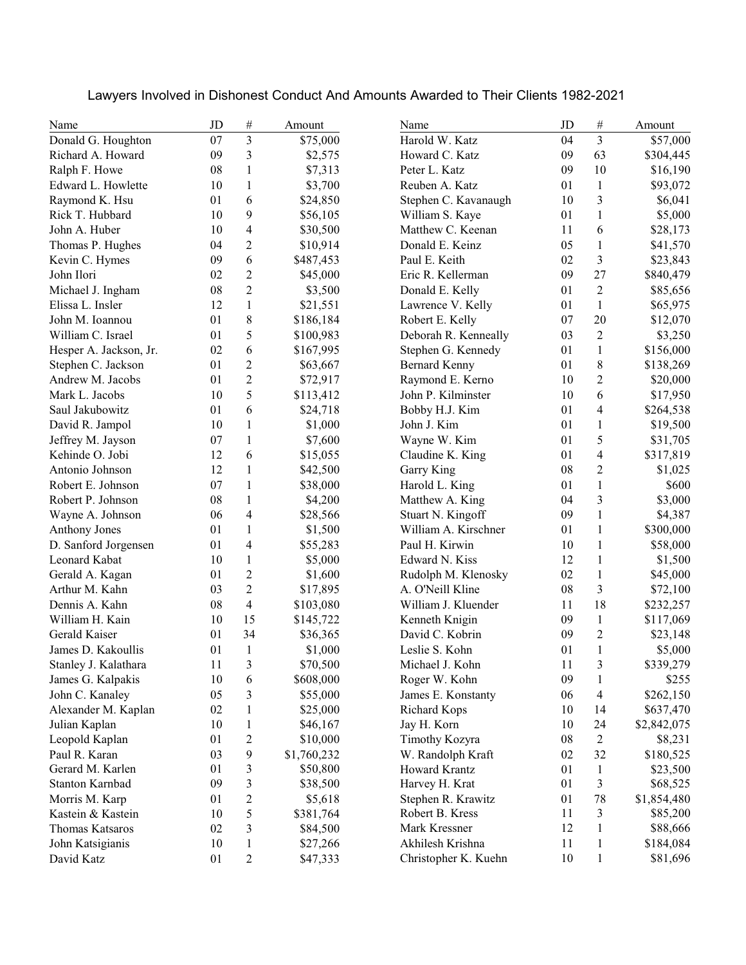| Name                   | JD     | $\#$           | Amount      | Name                 | JD         | $\#$           | Amount      |
|------------------------|--------|----------------|-------------|----------------------|------------|----------------|-------------|
| Donald G. Houghton     | 07     | $\overline{3}$ | \$75,000    | Harold W. Katz       | 04         | $\overline{3}$ | \$57,000    |
| Richard A. Howard      | 09     | 3              | \$2,575     | Howard C. Katz       | 09         | 63             | \$304,445   |
| Ralph F. Howe          | 08     | $\mathbf{1}$   | \$7,313     | Peter L. Katz        | 09         | 10             | \$16,190    |
| Edward L. Howlette     | 10     | 1              | \$3,700     | Reuben A. Katz       | 01         | $\mathbf{1}$   | \$93,072    |
| Raymond K. Hsu         | 01     | 6              | \$24,850    | Stephen C. Kavanaugh | 10         | 3              | \$6,041     |
| Rick T. Hubbard        | 10     | 9              | \$56,105    | William S. Kaye      | 01         | $\mathbf{1}$   | \$5,000     |
| John A. Huber          | 10     | 4              | \$30,500    | Matthew C. Keenan    | 11         | 6              | \$28,173    |
| Thomas P. Hughes       | 04     | 2              | \$10,914    | Donald E. Keinz      | 05         | $\mathbf{1}$   | \$41,570    |
| Kevin C. Hymes         | 09     | 6              | \$487,453   | Paul E. Keith        | 02         | 3              | \$23,843    |
| John Ilori             | 02     | $\overline{c}$ | \$45,000    | Eric R. Kellerman    | 09         | 27             | \$840,479   |
| Michael J. Ingham      | 08     | $\overline{c}$ | \$3,500     | Donald E. Kelly      | 01         | $\overline{2}$ | \$85,656    |
| Elissa L. Insler       | 12     | 1              | \$21,551    | Lawrence V. Kelly    | 01         | $\mathbf{1}$   | \$65,975    |
| John M. Ioannou        | 01     | 8              | \$186,184   | Robert E. Kelly      | 07         | 20             | \$12,070    |
| William C. Israel      | 01     | 5              | \$100,983   | Deborah R. Kenneally | 03         | $\overline{c}$ | \$3,250     |
| Hesper A. Jackson, Jr. | 02     | $\sqrt{6}$     | \$167,995   | Stephen G. Kennedy   | 01         | $\,1$          | \$156,000   |
| Stephen C. Jackson     | 01     | $\overline{c}$ | \$63,667    | <b>Bernard Kenny</b> | 01         | $\,$ $\,$      | \$138,269   |
| Andrew M. Jacobs       | 01     | $\overline{c}$ | \$72,917    | Raymond E. Kerno     | 10         | $\overline{c}$ | \$20,000    |
| Mark L. Jacobs         | 10     | 5              | \$113,412   | John P. Kilminster   | 10         | 6              | \$17,950    |
| Saul Jakubowitz        | 01     | 6              | \$24,718    | Bobby H.J. Kim       | 01         | 4              | \$264,538   |
| David R. Jampol        | 10     | 1              | \$1,000     | John J. Kim          | 01         | $\mathbf{1}$   | \$19,500    |
| Jeffrey M. Jayson      | 07     | 1              | \$7,600     | Wayne W. Kim         | 01         | 5              | \$31,705    |
| Kehinde O. Jobi        | 12     | 6              | \$15,055    | Claudine K. King     | 01         | 4              | \$317,819   |
| Antonio Johnson        | 12     | 1              | \$42,500    | Garry King           | 08         | 2              | \$1,025     |
| Robert E. Johnson      | 07     | 1              | \$38,000    | Harold L. King       | 01         | $\mathbf{1}$   | \$600       |
| Robert P. Johnson      | 08     | $\mathbf{1}$   | \$4,200     | Matthew A. King      | 04         | 3              | \$3,000     |
| Wayne A. Johnson       | 06     | 4              | \$28,566    | Stuart N. Kingoff    | 09         | $\mathbf{1}$   | \$4,387     |
| Anthony Jones          | 01     | 1              | \$1,500     | William A. Kirschner | 01         | $\mathbf{1}$   | \$300,000   |
| D. Sanford Jorgensen   | 01     | $\overline{4}$ | \$55,283    | Paul H. Kirwin       | 10         | $\mathbf{1}$   | \$58,000    |
| Leonard Kabat          | 10     | 1              | \$5,000     | Edward N. Kiss       | 12         | $\mathbf{1}$   | \$1,500     |
| Gerald A. Kagan        | 01     | $\overline{c}$ | \$1,600     | Rudolph M. Klenosky  | 02         | $\mathbf{1}$   | \$45,000    |
| Arthur M. Kahn         | 03     | $\overline{c}$ | \$17,895    | A. O'Neill Kline     | 08         | 3              | \$72,100    |
| Dennis A. Kahn         | 08     | 4              | \$103,080   | William J. Kluender  | 11         | 18             | \$232,257   |
| William H. Kain        | 10     | 15             | \$145,722   | Kenneth Knigin       | 09         | $\,1$          | \$117,069   |
| Gerald Kaiser          | 01     | 34             | \$36,365    | David C. Kobrin      | 09         | $\overline{c}$ | \$23,148    |
| James D. Kakoullis     | 01     | $\mathbf{1}$   | \$1,000     | Leslie S. Kohn       | 01         | $\mathbf{1}$   | \$5,000     |
| Stanley J. Kalathara   | $11\,$ | $\mathfrak{Z}$ | \$70,500    | Michael J. Kohn      | $1\,1$     | 3              | \$339,279   |
| James G. Kalpakis      | 10     | 6              | \$608,000   | Roger W. Kohn        | 09         | $\mathbf{1}$   | \$255       |
| John C. Kanaley        | 05     | 3              | \$55,000    | James E. Konstanty   | 06         | 4              | \$262,150   |
| Alexander M. Kaplan    | 02     | $\mathbf{1}$   | \$25,000    | Richard Kops         | 10         | 14             | \$637,470   |
| Julian Kaplan          | 10     | 1              | \$46,167    | Jay H. Korn          | 10         | 24             | \$2,842,075 |
| Leopold Kaplan         | 01     | 2              | \$10,000    | Timothy Kozyra       | ${\bf 08}$ | $\overline{c}$ | \$8,231     |
| Paul R. Karan          | 03     | 9              | \$1,760,232 | W. Randolph Kraft    | 02         | 32             | \$180,525   |
| Gerard M. Karlen       | 01     | 3              | \$50,800    | <b>Howard Krantz</b> | 01         | $\mathbf{1}$   | \$23,500    |
| Stanton Karnbad        | 09     | 3              | \$38,500    | Harvey H. Krat       | 01         | 3              | \$68,525    |
| Morris M. Karp         | 01     | 2              | \$5,618     | Stephen R. Krawitz   | 01         | 78             | \$1,854,480 |
| Kastein & Kastein      | 10     | 5              | \$381,764   | Robert B. Kress      | 11         | 3              | \$85,200    |
| Thomas Katsaros        | 02     | 3              | \$84,500    | Mark Kressner        | 12         | $\mathbf{1}$   | \$88,666    |
| John Katsigianis       | 10     | 1              | \$27,266    | Akhilesh Krishna     | 11         | $\mathbf{1}$   | \$184,084   |
| David Katz             | 01     | $\overline{c}$ | \$47,333    | Christopher K. Kuehn | 10         | $\mathbf{1}$   | \$81,696    |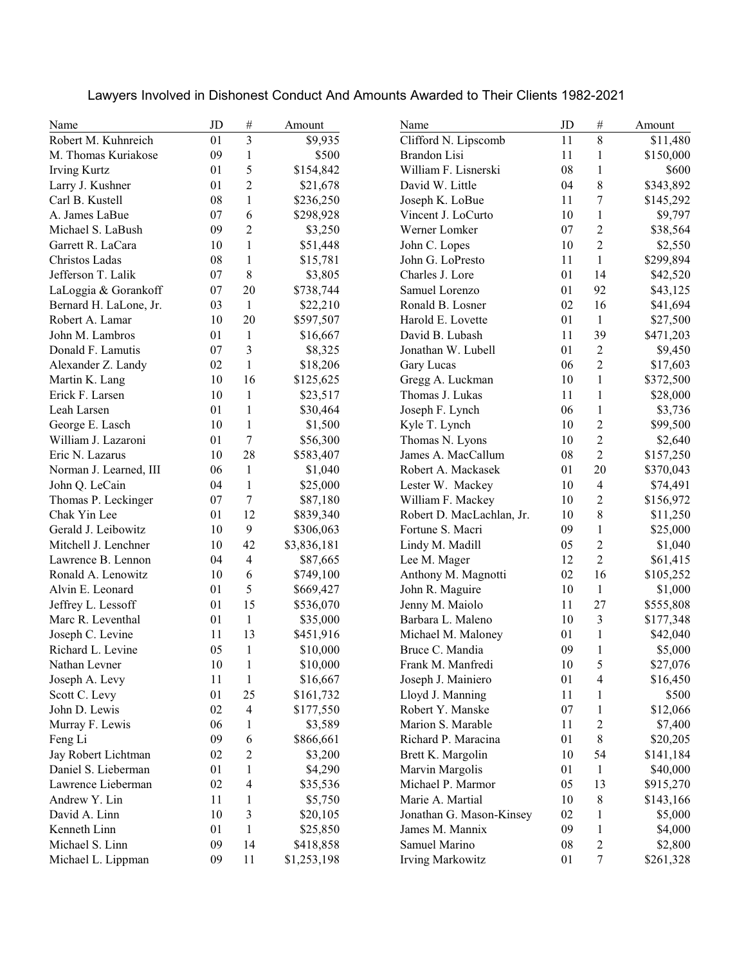| Lawyers Involved in Dishonest Conduct And Amounts Awarded to Their Clients 1982-2021 |  |  |  |  |  |  |
|--------------------------------------------------------------------------------------|--|--|--|--|--|--|
|--------------------------------------------------------------------------------------|--|--|--|--|--|--|

| Name                   | JD     | $\#$           | Amount      | Name                      | JD | $\#$             | Amount    |
|------------------------|--------|----------------|-------------|---------------------------|----|------------------|-----------|
| Robert M. Kuhnreich    | 01     | $\overline{3}$ | \$9,935     | Clifford N. Lipscomb      | 11 | 8                | \$11,480  |
| M. Thomas Kuriakose    | 09     | $\mathbf{1}$   | \$500       | Brandon Lisi              | 11 | 1                | \$150,000 |
| <b>Irving Kurtz</b>    | 01     | 5              | \$154,842   | William F. Lisnerski      | 08 | $\mathbf{1}$     | \$600     |
| Larry J. Kushner       | 01     | 2              | \$21,678    | David W. Little           | 04 | $\,$ 8 $\,$      | \$343,892 |
| Carl B. Kustell        | 08     | 1              | \$236,250   | Joseph K. LoBue           | 11 | 7                | \$145,292 |
| A. James LaBue         | 07     | 6              | \$298,928   | Vincent J. LoCurto        | 10 | 1                | \$9,797   |
| Michael S. LaBush      | 09     | $\overline{c}$ | \$3,250     | Werner Lomker             | 07 | $\overline{2}$   | \$38,564  |
| Garrett R. LaCara      | 10     | 1              | \$51,448    | John C. Lopes             | 10 | $\overline{2}$   | \$2,550   |
| Christos Ladas         | 08     | 1              | \$15,781    | John G. LoPresto          | 11 | $\mathbf{1}$     | \$299,894 |
| Jefferson T. Lalik     | 07     | 8              | \$3,805     | Charles J. Lore           | 01 | 14               | \$42,520  |
| LaLoggia & Gorankoff   | 07     | 20             | \$738,744   | Samuel Lorenzo            | 01 | 92               | \$43,125  |
| Bernard H. LaLone, Jr. | 03     | $\mathbf{1}$   | \$22,210    | Ronald B. Losner          | 02 | 16               | \$41,694  |
| Robert A. Lamar        | 10     | 20             | \$597,507   | Harold E. Lovette         | 01 | $\mathbf{1}$     | \$27,500  |
| John M. Lambros        | 01     | $\mathbf{1}$   | \$16,667    | David B. Lubash           | 11 | 39               | \$471,203 |
| Donald F. Lamutis      | 07     | 3              | \$8,325     | Jonathan W. Lubell        | 01 | $\overline{2}$   | \$9,450   |
| Alexander Z. Landy     | 02     | $\mathbf{1}$   | \$18,206    | Gary Lucas                | 06 | $\overline{c}$   | \$17,603  |
| Martin K. Lang         | 10     | 16             | \$125,625   | Gregg A. Luckman          | 10 | $\mathbf{1}$     | \$372,500 |
| Erick F. Larsen        | 10     | 1              | \$23,517    | Thomas J. Lukas           | 11 | $\mathbf{1}$     | \$28,000  |
| Leah Larsen            | 01     | $\mathbf{1}$   | \$30,464    | Joseph F. Lynch           | 06 | $\mathbf{1}$     | \$3,736   |
| George E. Lasch        | 10     | 1              | \$1,500     | Kyle T. Lynch             | 10 | $\overline{c}$   | \$99,500  |
| William J. Lazaroni    | 01     | $\tau$         | \$56,300    | Thomas N. Lyons           | 10 | $\overline{c}$   | \$2,640   |
| Eric N. Lazarus        | 10     | 28             | \$583,407   | James A. MacCallum        | 08 | $\overline{2}$   | \$157,250 |
| Norman J. Learned, III | 06     | $\mathbf{1}$   | \$1,040     | Robert A. Mackasek        | 01 | 20               | \$370,043 |
| John Q. LeCain         | 04     | 1              | \$25,000    | Lester W. Mackey          | 10 | 4                | \$74,491  |
| Thomas P. Leckinger    | 07     | 7              | \$87,180    | William F. Mackey         | 10 | $\overline{2}$   | \$156,972 |
| Chak Yin Lee           | 01     | 12             | \$839,340   | Robert D. MacLachlan, Jr. | 10 | $\,$ 8 $\,$      | \$11,250  |
| Gerald J. Leibowitz    | 10     | 9              | \$306,063   | Fortune S. Macri          | 09 | $\mathbf{1}$     | \$25,000  |
| Mitchell J. Lenchner   | 10     | 42             | \$3,836,181 | Lindy M. Madill           | 05 | $\overline{c}$   | \$1,040   |
| Lawrence B. Lennon     | 04     | 4              | \$87,665    | Lee M. Mager              | 12 | $\overline{c}$   | \$61,415  |
| Ronald A. Lenowitz     | 10     | 6              | \$749,100   | Anthony M. Magnotti       | 02 | 16               | \$105,252 |
| Alvin E. Leonard       | 01     | 5              | \$669,427   | John R. Maguire           | 10 | $\mathbf{1}$     | \$1,000   |
| Jeffrey L. Lessoff     | 01     | 15             | \$536,070   | Jenny M. Maiolo           | 11 | 27               | \$555,808 |
| Marc R. Leventhal      | 01     | $\mathbf{1}$   | \$35,000    | Barbara L. Maleno         | 10 | 3                | \$177,348 |
| Joseph C. Levine       | 11     | 13             | \$451,916   | Michael M. Maloney        | 01 | $\mathbf{1}$     | \$42,040  |
| Richard L. Levine      | 05     | $\mathbf{1}$   | \$10,000    | Bruce C. Mandia           | 09 | $\mathbf{1}$     | \$5,000   |
| Nathan Levner          | $10\,$ | $\,1\,$        | \$10,000    | Frank M. Manfredi         | 10 | 5                | \$27,076  |
| Joseph A. Levy         | 11     | 1              | \$16,667    | Joseph J. Mainiero        | 01 | 4                | \$16,450  |
| Scott C. Levy          | 01     | 25             | \$161,732   | Lloyd J. Manning          | 11 | 1                | \$500     |
| John D. Lewis          | 02     | 4              | \$177,550   | Robert Y. Manske          | 07 | $\mathbf{1}$     | \$12,066  |
| Murray F. Lewis        | 06     | 1              | \$3,589     | Marion S. Marable         | 11 | $\mathfrak{2}$   | \$7,400   |
| Feng Li                | 09     | 6              | \$866,661   | Richard P. Maracina       | 01 | $\,8$            | \$20,205  |
| Jay Robert Lichtman    | 02     | 2              | \$3,200     | Brett K. Margolin         | 10 | 54               | \$141,184 |
| Daniel S. Lieberman    | 01     | 1              | \$4,290     | Marvin Margolis           | 01 | $\mathbf{1}$     | \$40,000  |
| Lawrence Lieberman     | 02     | 4              | \$35,536    | Michael P. Marmor         | 05 | 13               | \$915,270 |
| Andrew Y. Lin          | 11     | 1              | \$5,750     | Marie A. Martial          | 10 | $\,$ 8 $\,$      | \$143,166 |
| David A. Linn          | 10     | 3              | \$20,105    | Jonathan G. Mason-Kinsey  | 02 | $\mathbf{1}$     | \$5,000   |
| Kenneth Linn           | 01     | 1              | \$25,850    | James M. Mannix           | 09 | $\mathbf{1}$     | \$4,000   |
| Michael S. Linn        | 09     | 14             | \$418,858   | Samuel Marino             | 08 | $\overline{c}$   | \$2,800   |
| Michael L. Lippman     | 09     | 11             | \$1,253,198 | <b>Irving Markowitz</b>   | 01 | $\boldsymbol{7}$ | \$261,328 |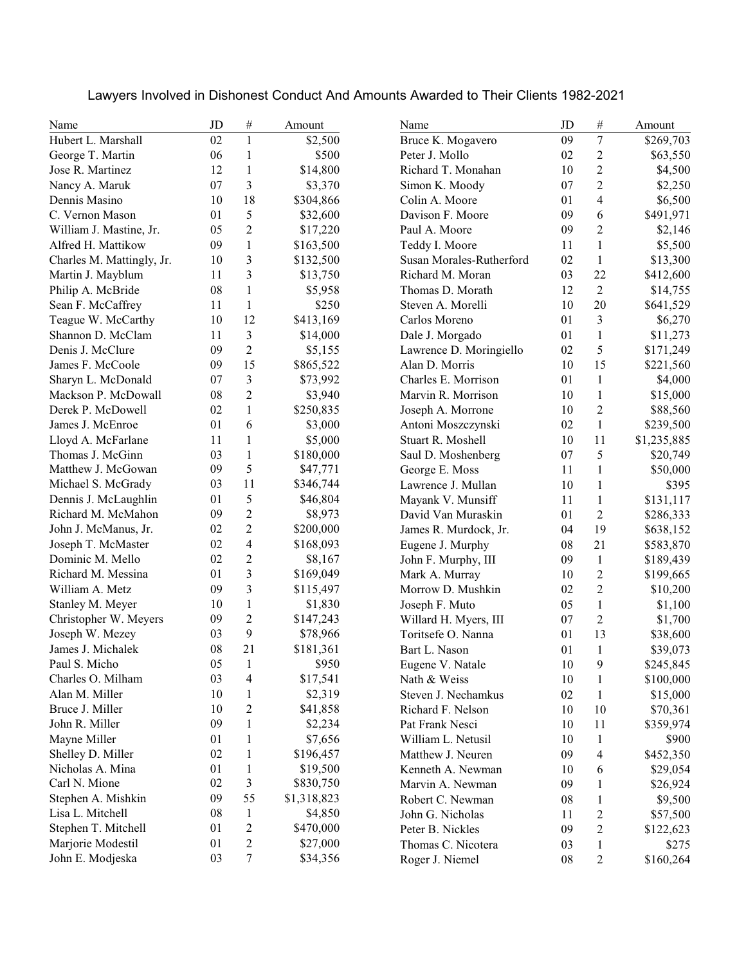| Lawyers Involved in Dishonest Conduct And Amounts Awarded to Their Clients 1982-2021 |  |  |  |
|--------------------------------------------------------------------------------------|--|--|--|
|--------------------------------------------------------------------------------------|--|--|--|

| Name                      | JD | $\#$                     | Amount      | Name                     | JD     | $\#$             | Amount      |
|---------------------------|----|--------------------------|-------------|--------------------------|--------|------------------|-------------|
| Hubert L. Marshall        | 02 | $\mathbf{1}$             | \$2,500     | Bruce K. Mogavero        | 09     | $\boldsymbol{7}$ | \$269,703   |
| George T. Martin          | 06 | 1                        | \$500       | Peter J. Mollo           | 02     | 2                | \$63,550    |
| Jose R. Martinez          | 12 | 1                        | \$14,800    | Richard T. Monahan       | 10     | $\overline{c}$   | \$4,500     |
| Nancy A. Maruk            | 07 | 3                        | \$3,370     | Simon K. Moody           | 07     | $\overline{c}$   | \$2,250     |
| Dennis Masino             | 10 | 18                       | \$304,866   | Colin A. Moore           | 01     | 4                | \$6,500     |
| C. Vernon Mason           | 01 | 5                        | \$32,600    | Davison F. Moore         | 09     | 6                | \$491,971   |
| William J. Mastine, Jr.   | 05 | $\overline{2}$           | \$17,220    | Paul A. Moore            | 09     | $\overline{2}$   | \$2,146     |
| Alfred H. Mattikow        | 09 | 1                        | \$163,500   | Teddy I. Moore           | 11     | $\mathbf{1}$     | \$5,500     |
| Charles M. Mattingly, Jr. | 10 | 3                        | \$132,500   | Susan Morales-Rutherford | 02     | $\mathbf{1}$     | \$13,300    |
| Martin J. Mayblum         | 11 | 3                        | \$13,750    | Richard M. Moran         | 03     | 22               | \$412,600   |
| Philip A. McBride         | 08 | $\mathbf{1}$             | \$5,958     | Thomas D. Morath         | 12     | $\mathfrak{2}$   | \$14,755    |
| Sean F. McCaffrey         | 11 | $\mathbf{1}$             | \$250       | Steven A. Morelli        | 10     | 20               | \$641,529   |
| Teague W. McCarthy        | 10 | 12                       | \$413,169   | Carlos Moreno            | 01     | 3                | \$6,270     |
| Shannon D. McClam         | 11 | 3                        | \$14,000    | Dale J. Morgado          | 01     | $\mathbf{1}$     | \$11,273    |
| Denis J. McClure          | 09 | $\overline{2}$           | \$5,155     | Lawrence D. Moringiello  | 02     | 5                | \$171,249   |
| James F. McCoole          | 09 | 15                       | \$865,522   | Alan D. Morris           | 10     | 15               | \$221,560   |
| Sharyn L. McDonald        | 07 | 3                        | \$73,992    | Charles E. Morrison      | 01     | $\mathbf{1}$     | \$4,000     |
| Mackson P. McDowall       | 08 | $\overline{c}$           | \$3,940     | Marvin R. Morrison       | 10     | $\mathbf{1}$     | \$15,000    |
| Derek P. McDowell         | 02 | $\mathbf{1}$             | \$250,835   | Joseph A. Morrone        | 10     | $\overline{c}$   | \$88,560    |
| James J. McEnroe          | 01 | 6                        | \$3,000     | Antoni Moszczynski       | 02     | $\mathbf{1}$     | \$239,500   |
| Lloyd A. McFarlane        | 11 | $\mathbf{1}$             | \$5,000     | Stuart R. Moshell        | 10     | 11               | \$1,235,885 |
| Thomas J. McGinn          | 03 | $\mathbf{1}$             | \$180,000   | Saul D. Moshenberg       | 07     | 5                | \$20,749    |
| Matthew J. McGowan        | 09 | 5                        | \$47,771    | George E. Moss           | 11     | $\mathbf{1}$     | \$50,000    |
| Michael S. McGrady        | 03 | 11                       | \$346,744   | Lawrence J. Mullan       | 10     | $\mathbf{1}$     | \$395       |
| Dennis J. McLaughlin      | 01 | 5                        | \$46,804    | Mayank V. Munsiff        | 11     | $\mathbf{1}$     | \$131,117   |
| Richard M. McMahon        | 09 | $\overline{c}$           | \$8,973     | David Van Muraskin       | 01     | $\overline{c}$   | \$286,333   |
| John J. McManus, Jr.      | 02 | 2                        | \$200,000   | James R. Murdock, Jr.    | 04     | 19               | \$638,152   |
| Joseph T. McMaster        | 02 | 4                        | \$168,093   | Eugene J. Murphy         | 08     | 21               | \$583,870   |
| Dominic M. Mello          | 02 | $\overline{c}$           | \$8,167     | John F. Murphy, III      | 09     | $\mathbf{1}$     | \$189,439   |
| Richard M. Messina        | 01 | 3                        | \$169,049   | Mark A. Murray           | 10     | $\overline{c}$   | \$199,665   |
| William A. Metz           | 09 | 3                        | \$115,497   | Morrow D. Mushkin        | 02     | $\overline{c}$   | \$10,200    |
| Stanley M. Meyer          | 10 | 1                        | \$1,830     | Joseph F. Muto           | 05     | $\mathbf{1}$     | \$1,100     |
| Christopher W. Meyers     | 09 | $\overline{2}$           | \$147,243   | Willard H. Myers, III    | 07     | $\overline{2}$   | \$1,700     |
| Joseph W. Mezey           | 03 | 9                        | \$78,966    | Toritsefe O. Nanna       | 01     | 13               | \$38,600    |
| James J. Michalek         | 08 | 21                       | \$181,361   | Bart L. Nason            | 01     | $\mathbf{1}$     | \$39,073    |
| Paul S. Micho             | 05 | $\mathbf{1}$             | \$950       | Eugene V. Natale         | $10\,$ | 9                | \$245,845   |
| Charles O. Milham         | 03 | $\overline{\mathcal{L}}$ | \$17,541    | Nath & Weiss             | 10     | 1                | \$100,000   |
| Alan M. Miller            | 10 | 1                        | \$2,319     | Steven J. Nechamkus      | 02     | $\mathbf{1}$     | \$15,000    |
| Bruce J. Miller           | 10 | $\overline{c}$           | \$41,858    | Richard F. Nelson        | 10     | 10               | \$70,361    |
| John R. Miller            | 09 | 1                        | \$2,234     | Pat Frank Nesci          | 10     | 11               | \$359,974   |
| Mayne Miller              | 01 | 1                        | \$7,656     | William L. Netusil       | 10     | $\mathbf{1}$     | \$900       |
| Shelley D. Miller         | 02 | 1                        | \$196,457   | Matthew J. Neuren        | 09     | 4                | \$452,350   |
| Nicholas A. Mina          | 01 | 1                        | \$19,500    | Kenneth A. Newman        | 10     | 6                | \$29,054    |
| Carl N. Mione             | 02 | 3                        | \$830,750   | Marvin A. Newman         | 09     | $\mathbf{1}$     | \$26,924    |
| Stephen A. Mishkin        | 09 | 55                       | \$1,318,823 | Robert C. Newman         | 08     | $\mathbf{1}$     | \$9,500     |
| Lisa L. Mitchell          | 08 | $\mathbf{1}$             | \$4,850     | John G. Nicholas         | 11     | $\overline{c}$   | \$57,500    |
| Stephen T. Mitchell       | 01 | 2                        | \$470,000   | Peter B. Nickles         | 09     | $\overline{c}$   | \$122,623   |
| Marjorie Modestil         | 01 | 2                        | \$27,000    | Thomas C. Nicotera       | 03     | $\mathbf{1}$     | \$275       |
| John E. Modjeska          | 03 | 7                        | \$34,356    | Roger J. Niemel          | 08     | $\overline{c}$   | \$160,264   |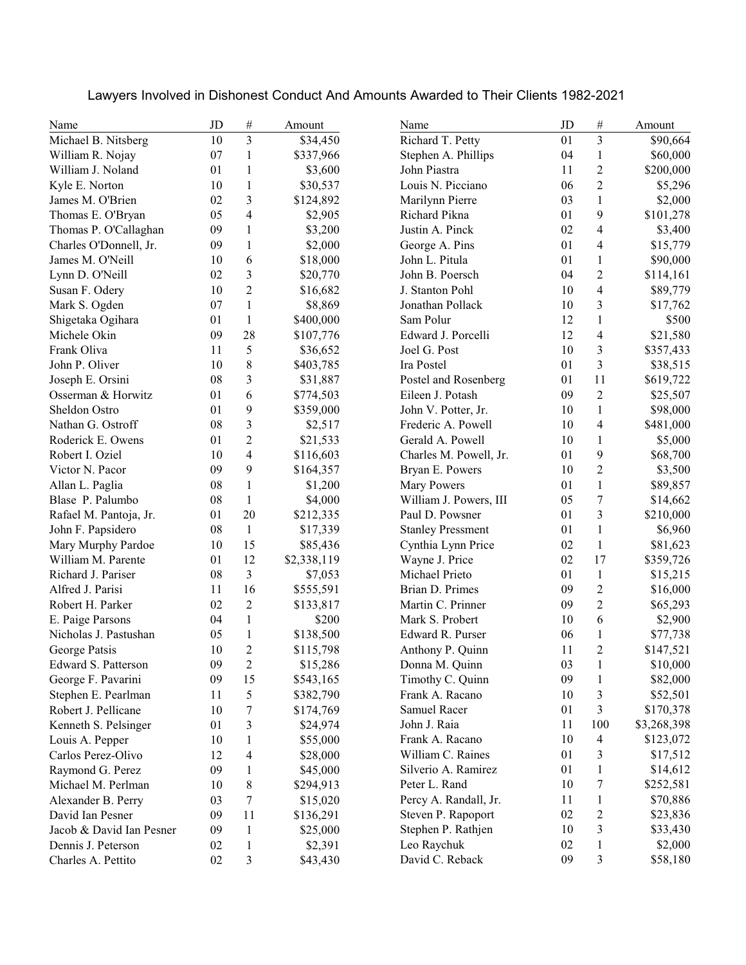| Name                     | JD | $\#$                    | Amount      | Name                     | JD | #                        | Amount      |
|--------------------------|----|-------------------------|-------------|--------------------------|----|--------------------------|-------------|
| Michael B. Nitsberg      | 10 | $\overline{3}$          | \$34,450    | Richard T. Petty         | 01 | $\overline{3}$           | \$90,664    |
| William R. Nojay         | 07 | $\mathbf{1}$            | \$337,966   | Stephen A. Phillips      | 04 | $\mathbf{1}$             | \$60,000    |
| William J. Noland        | 01 | 1                       | \$3,600     | John Piastra             | 11 | $\overline{2}$           | \$200,000   |
| Kyle E. Norton           | 10 | $\mathbf{1}$            | \$30,537    | Louis N. Picciano        | 06 | $\overline{2}$           | \$5,296     |
| James M. O'Brien         | 02 | 3                       | \$124,892   | Marilynn Pierre          | 03 | $\mathbf{1}$             | \$2,000     |
| Thomas E. O'Bryan        | 05 | 4                       | \$2,905     | Richard Pikna            | 01 | 9                        | \$101,278   |
| Thomas P. O'Callaghan    | 09 | 1                       | \$3,200     | Justin A. Pinck          | 02 | 4                        | \$3,400     |
| Charles O'Donnell, Jr.   | 09 | 1                       | \$2,000     | George A. Pins           | 01 | 4                        | \$15,779    |
| James M. O'Neill         | 10 | 6                       | \$18,000    | John L. Pitula           | 01 | 1                        | \$90,000    |
| Lynn D. O'Neill          | 02 | 3                       | \$20,770    | John B. Poersch          | 04 | $\overline{2}$           | \$114,161   |
| Susan F. Odery           | 10 | $\overline{2}$          | \$16,682    | J. Stanton Pohl          | 10 | 4                        | \$89,779    |
| Mark S. Ogden            | 07 | 1                       | \$8,869     | Jonathan Pollack         | 10 | 3                        | \$17,762    |
| Shigetaka Ogihara        | 01 | 1                       | \$400,000   | Sam Polur                | 12 | $\mathbf{1}$             | \$500       |
| Michele Okin             | 09 | 28                      | \$107,776   | Edward J. Porcelli       | 12 | 4                        | \$21,580    |
| Frank Oliva              | 11 | 5                       | \$36,652    | Joel G. Post             | 10 | 3                        | \$357,433   |
| John P. Oliver           | 10 | $\,$ $\,$               | \$403,785   | Ira Postel               | 01 | 3                        | \$38,515    |
| Joseph E. Orsini         | 08 | 3                       | \$31,887    | Postel and Rosenberg     | 01 | 11                       | \$619,722   |
| Osserman & Horwitz       | 01 | 6                       | \$774,503   | Eileen J. Potash         | 09 | $\overline{c}$           | \$25,507    |
| Sheldon Ostro            | 01 | 9                       | \$359,000   | John V. Potter, Jr.      | 10 | $\mathbf{1}$             | \$98,000    |
| Nathan G. Ostroff        | 08 | $\overline{\mathbf{3}}$ | \$2,517     | Frederic A. Powell       | 10 | 4                        | \$481,000   |
| Roderick E. Owens        | 01 | $\overline{c}$          | \$21,533    | Gerald A. Powell         | 10 | $\mathbf{1}$             | \$5,000     |
| Robert I. Oziel          | 10 | $\overline{\mathbf{4}}$ | \$116,603   | Charles M. Powell, Jr.   | 01 | 9                        | \$68,700    |
| Victor N. Pacor          | 09 | 9                       | \$164,357   | Bryan E. Powers          | 10 | $\overline{2}$           | \$3,500     |
| Allan L. Paglia          | 08 | $\mathbf{1}$            | \$1,200     | <b>Mary Powers</b>       | 01 | $\mathbf{1}$             | \$89,857    |
| Blase P. Palumbo         | 08 | 1                       | \$4,000     | William J. Powers, III   | 05 | $\overline{7}$           | \$14,662    |
| Rafael M. Pantoja, Jr.   | 01 | 20                      | \$212,335   | Paul D. Powsner          | 01 | 3                        | \$210,000   |
| John F. Papsidero        | 08 | $\mathbf{1}$            | \$17,339    | <b>Stanley Pressment</b> | 01 | $\mathbf{1}$             | \$6,960     |
| Mary Murphy Pardoe       | 10 | 15                      | \$85,436    | Cynthia Lynn Price       | 02 | $\mathbf{1}$             | \$81,623    |
| William M. Parente       | 01 | 12                      | \$2,338,119 | Wayne J. Price           | 02 | 17                       | \$359,726   |
| Richard J. Pariser       | 08 | 3                       | \$7,053     | Michael Prieto           | 01 | $\mathbf{1}$             | \$15,215    |
| Alfred J. Parisi         | 11 | 16                      | \$555,591   | Brian D. Primes          | 09 | $\overline{c}$           | \$16,000    |
| Robert H. Parker         | 02 | $\overline{2}$          | \$133,817   | Martin C. Prinner        | 09 | $\overline{c}$           | \$65,293    |
| E. Paige Parsons         | 04 | 1                       | \$200       | Mark S. Probert          | 10 | 6                        | \$2,900     |
| Nicholas J. Pastushan    | 05 | $\mathbf{1}$            | \$138,500   | Edward R. Purser         | 06 | $\,1$                    | \$77,738    |
| George Patsis            | 10 | $\overline{c}$          | \$115,798   | Anthony P. Quinn         | 11 | $\overline{c}$           | \$147,521   |
| Edward S. Patterson      | 09 | $\overline{c}$          | \$15,286    | Donna M. Quinn           | 03 | $\,1$                    | \$10,000    |
| George F. Pavarini       | 09 | 15                      | \$543,165   | Timothy C. Quinn         | 09 | $\mathbf{1}$             | \$82,000    |
| Stephen E. Pearlman      | 11 | 5                       | \$382,790   | Frank A. Racano          | 10 | 3                        | \$52,501    |
| Robert J. Pellicane      | 10 | 7                       | \$174,769   | <b>Samuel Racer</b>      | 01 | 3                        | \$170,378   |
| Kenneth S. Pelsinger     | 01 | 3                       | \$24,974    | John J. Raia             | 11 | 100                      | \$3,268,398 |
| Louis A. Pepper          | 10 | 1                       | \$55,000    | Frank A. Racano          | 10 | $\overline{\mathcal{A}}$ | \$123,072   |
| Carlos Perez-Olivo       | 12 | 4                       | \$28,000    | William C. Raines        | 01 | 3                        | \$17,512    |
| Raymond G. Perez         | 09 | 1                       | \$45,000    | Silverio A. Ramirez      | 01 | $\mathbf{1}$             | \$14,612    |
| Michael M. Perlman       | 10 | 8                       | \$294,913   | Peter L. Rand            | 10 | 7                        | \$252,581   |
| Alexander B. Perry       | 03 | 7                       | \$15,020    | Percy A. Randall, Jr.    | 11 | $\mathbf{1}$             | \$70,886    |
| David Ian Pesner         | 09 | 11                      | \$136,291   | Steven P. Rapoport       | 02 | 2                        | \$23,836    |
| Jacob & David Ian Pesner | 09 | 1                       | \$25,000    | Stephen P. Rathjen       | 10 | 3                        | \$33,430    |
| Dennis J. Peterson       | 02 | 1                       | \$2,391     | Leo Raychuk              | 02 | 1                        | \$2,000     |
| Charles A. Pettito       | 02 | 3                       | \$43,430    | David C. Reback          | 09 | 3                        | \$58,180    |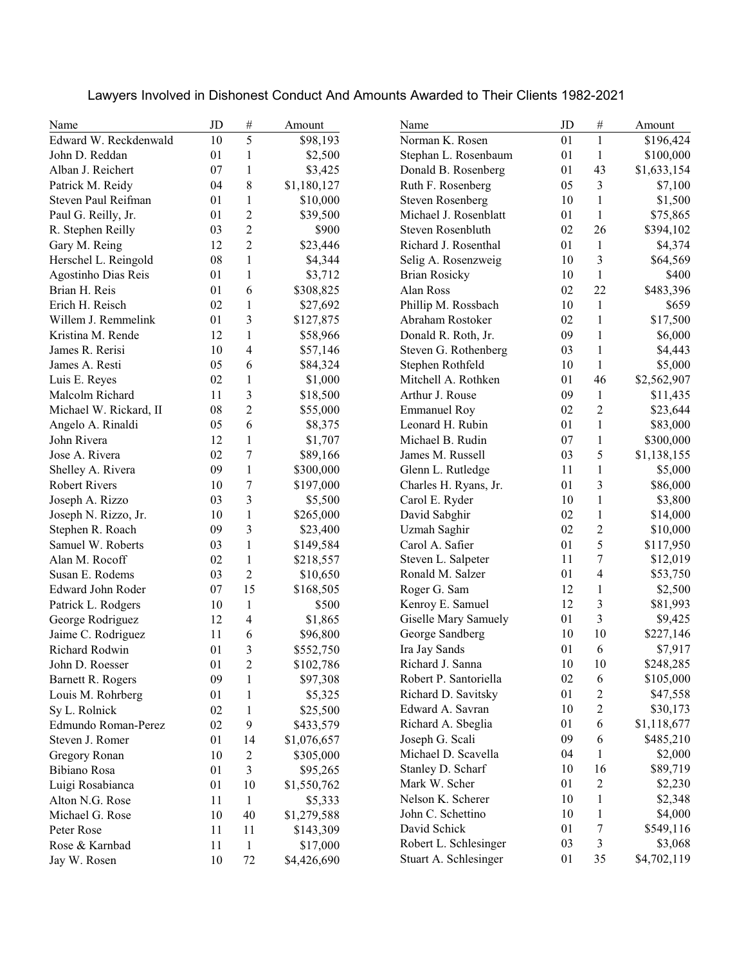| Lawyers Involved in Dishonest Conduct And Amounts Awarded to Their Clients 1982-2021 |  |  |  |
|--------------------------------------------------------------------------------------|--|--|--|
|--------------------------------------------------------------------------------------|--|--|--|

| Name                   | JD | $\#$                    | Amount      | Name                    | JD | $\#$             | Amount      |
|------------------------|----|-------------------------|-------------|-------------------------|----|------------------|-------------|
| Edward W. Reckdenwald  | 10 | 5                       | \$98,193    | Norman K. Rosen         | 01 | $\mathbf{1}$     | \$196,424   |
| John D. Reddan         | 01 | 1                       | \$2,500     | Stephan L. Rosenbaum    | 01 | $\mathbf{1}$     | \$100,000   |
| Alban J. Reichert      | 07 | $\mathbf{1}$            | \$3,425     | Donald B. Rosenberg     | 01 | 43               | \$1,633,154 |
| Patrick M. Reidy       | 04 | 8                       | \$1,180,127 | Ruth F. Rosenberg       | 05 | 3                | \$7,100     |
| Steven Paul Reifman    | 01 | 1                       | \$10,000    | <b>Steven Rosenberg</b> | 10 | $\mathbf{1}$     | \$1,500     |
| Paul G. Reilly, Jr.    | 01 | $\overline{2}$          | \$39,500    | Michael J. Rosenblatt   | 01 | $\mathbf{1}$     | \$75,865    |
| R. Stephen Reilly      | 03 | $\overline{2}$          | \$900       | Steven Rosenbluth       | 02 | 26               | \$394,102   |
| Gary M. Reing          | 12 | $\overline{2}$          | \$23,446    | Richard J. Rosenthal    | 01 | 1                | \$4,374     |
| Herschel L. Reingold   | 08 | 1                       | \$4,344     | Selig A. Rosenzweig     | 10 | 3                | \$64,569    |
| Agostinho Dias Reis    | 01 | 1                       | \$3,712     | <b>Brian Rosicky</b>    | 10 | $\mathbf{1}$     | \$400       |
| Brian H. Reis          | 01 | 6                       | \$308,825   | Alan Ross               | 02 | 22               | \$483,396   |
| Erich H. Reisch        | 02 | $\mathbf{1}$            | \$27,692    | Phillip M. Rossbach     | 10 | $\mathbf{1}$     | \$659       |
| Willem J. Remmelink    | 01 | 3                       | \$127,875   | Abraham Rostoker        | 02 | $\mathbf{1}$     | \$17,500    |
| Kristina M. Rende      | 12 | $\mathbf{1}$            | \$58,966    | Donald R. Roth, Jr.     | 09 | $\mathbf{1}$     | \$6,000     |
| James R. Rerisi        | 10 | $\overline{4}$          | \$57,146    | Steven G. Rothenberg    | 03 | $\mathbf{1}$     | \$4,443     |
| James A. Resti         | 05 | 6                       | \$84,324    | Stephen Rothfeld        | 10 | $\,1$            | \$5,000     |
| Luis E. Reyes          | 02 | $\mathbf{1}$            | \$1,000     | Mitchell A. Rothken     | 01 | 46               | \$2,562,907 |
| Malcolm Richard        | 11 | 3                       | \$18,500    | Arthur J. Rouse         | 09 | 1                | \$11,435    |
| Michael W. Rickard, II | 08 | $\overline{c}$          | \$55,000    | <b>Emmanuel Roy</b>     | 02 | $\overline{2}$   | \$23,644    |
| Angelo A. Rinaldi      | 05 | 6                       | \$8,375     | Leonard H. Rubin        | 01 | $\mathbf{1}$     | \$83,000    |
| John Rivera            | 12 | $\mathbf{1}$            | \$1,707     | Michael B. Rudin        | 07 | $\mathbf{1}$     | \$300,000   |
| Jose A. Rivera         | 02 | $\boldsymbol{7}$        | \$89,166    | James M. Russell        | 03 | 5                | \$1,138,155 |
| Shelley A. Rivera      | 09 | $\mathbf{1}$            | \$300,000   | Glenn L. Rutledge       | 11 | $\mathbf{1}$     | \$5,000     |
| <b>Robert Rivers</b>   | 10 | $\boldsymbol{7}$        | \$197,000   | Charles H. Ryans, Jr.   | 01 | 3                | \$86,000    |
| Joseph A. Rizzo        | 03 | 3                       | \$5,500     | Carol E. Ryder          | 10 | 1                | \$3,800     |
| Joseph N. Rizzo, Jr.   | 10 | $\mathbf{1}$            | \$265,000   | David Sabghir           | 02 | $\mathbf{1}$     | \$14,000    |
| Stephen R. Roach       | 09 | 3                       | \$23,400    | <b>Uzmah Saghir</b>     | 02 | $\overline{c}$   | \$10,000    |
| Samuel W. Roberts      | 03 | 1                       | \$149,584   | Carol A. Safier         | 01 | 5                | \$117,950   |
| Alan M. Rocoff         | 02 | $\mathbf{1}$            | \$218,557   | Steven L. Salpeter      | 11 | 7                | \$12,019    |
| Susan E. Rodems        | 03 | $\overline{2}$          | \$10,650    | Ronald M. Salzer        | 01 | 4                | \$53,750    |
| Edward John Roder      | 07 | 15                      | \$168,505   | Roger G. Sam            | 12 | $\mathbf{1}$     | \$2,500     |
| Patrick L. Rodgers     | 10 | $\mathbf{1}$            | \$500       | Kenroy E. Samuel        | 12 | 3                | \$81,993    |
| George Rodriguez       | 12 | $\overline{\mathbf{4}}$ | \$1,865     | Giselle Mary Samuely    | 01 | 3                | \$9,425     |
| Jaime C. Rodriguez     | 11 | 6                       | \$96,800    | George Sandberg         | 10 | 10               | \$227,146   |
| Richard Rodwin         | 01 | 3                       | \$552,750   | Ira Jay Sands           | 01 | 6                | \$7,917     |
| John D. Roesser        | 01 | $\overline{c}$          | \$102,786   | Richard J. Sanna        | 10 | $10\,$           | \$248,285   |
| Barnett R. Rogers      | 09 | 1                       | \$97,308    | Robert P. Santoriella   | 02 | 6                | \$105,000   |
| Louis M. Rohrberg      | 01 | 1                       | \$5,325     | Richard D. Savitsky     | 01 | $\overline{c}$   | \$47,558    |
| Sy L. Rolnick          | 02 | 1                       | \$25,500    | Edward A. Savran        | 10 | $\overline{c}$   | \$30,173    |
| Edmundo Roman-Perez    | 02 | 9                       | \$433,579   | Richard A. Sbeglia      | 01 | 6                | \$1,118,677 |
| Steven J. Romer        | 01 | 14                      | \$1,076,657 | Joseph G. Scali         | 09 | 6                | \$485,210   |
| Gregory Ronan          | 10 | $\overline{c}$          | \$305,000   | Michael D. Scavella     | 04 | $\mathbf{1}$     | \$2,000     |
| Bibiano Rosa           | 01 | 3                       | \$95,265    | Stanley D. Scharf       | 10 | 16               | \$89,719    |
| Luigi Rosabianca       | 01 | 10                      | \$1,550,762 | Mark W. Scher           | 01 | 2                | \$2,230     |
| Alton N.G. Rose        | 11 | 1                       | \$5,333     | Nelson K. Scherer       | 10 | $\mathbf{1}$     | \$2,348     |
| Michael G. Rose        | 10 | 40                      | \$1,279,588 | John C. Schettino       | 10 | $\mathbf{1}$     | \$4,000     |
| Peter Rose             | 11 | 11                      | \$143,309   | David Schick            | 01 | $\boldsymbol{7}$ | \$549,116   |
| Rose & Karnbad         | 11 | $\mathbf{1}$            | \$17,000    | Robert L. Schlesinger   | 03 | 3                | \$3,068     |
| Jay W. Rosen           | 10 | 72                      | \$4,426,690 | Stuart A. Schlesinger   | 01 | 35               | \$4,702,119 |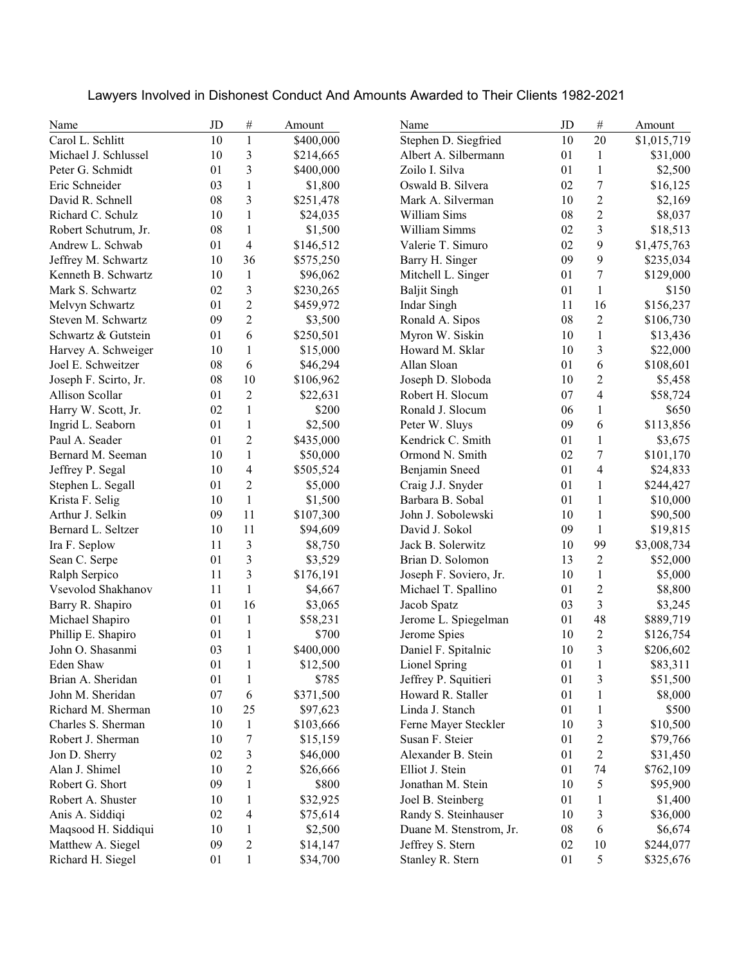Lawyers Involved in Dishonest Conduct And Amounts Awarded to Their Clients 1982-2021

| Name                  | JD     | $\#$           | Amount    | Name                    | JD | $\#$                     | Amount      |
|-----------------------|--------|----------------|-----------|-------------------------|----|--------------------------|-------------|
| Carol L. Schlitt      | 10     | $\mathbf{1}$   | \$400,000 | Stephen D. Siegfried    | 10 | 20                       | \$1,015,719 |
| Michael J. Schlussel  | 10     | 3              | \$214,665 | Albert A. Silbermann    | 01 | $\mathbf{1}$             | \$31,000    |
| Peter G. Schmidt      | 01     | 3              | \$400,000 | Zoilo I. Silva          | 01 | $\mathbf{1}$             | \$2,500     |
| Eric Schneider        | 03     | $\mathbf{1}$   | \$1,800   | Oswald B. Silvera       | 02 | 7                        | \$16,125    |
| David R. Schnell      | 08     | 3              | \$251,478 | Mark A. Silverman       | 10 | 2                        | \$2,169     |
| Richard C. Schulz     | 10     | 1              | \$24,035  | William Sims            | 08 | $\overline{c}$           | \$8,037     |
| Robert Schutrum, Jr.  | 08     | 1              | \$1,500   | William Simms           | 02 | 3                        | \$18,513    |
| Andrew L. Schwab      | 01     | $\overline{4}$ | \$146,512 | Valerie T. Simuro       | 02 | 9                        | \$1,475,763 |
| Jeffrey M. Schwartz   | 10     | 36             | \$575,250 | Barry H. Singer         | 09 | 9                        | \$235,034   |
| Kenneth B. Schwartz   | 10     | $\mathbf{1}$   | \$96,062  | Mitchell L. Singer      | 01 | 7                        | \$129,000   |
| Mark S. Schwartz      | 02     | $\mathfrak{Z}$ | \$230,265 | <b>Baljit Singh</b>     | 01 | $\mathbf{1}$             | \$150       |
| Melvyn Schwartz       | 01     | $\overline{2}$ | \$459,972 | <b>Indar Singh</b>      | 11 | 16                       | \$156,237   |
| Steven M. Schwartz    | 09     | $\overline{2}$ | \$3,500   | Ronald A. Sipos         | 08 | $\overline{c}$           | \$106,730   |
| Schwartz & Gutstein   | 01     | 6              | \$250,501 | Myron W. Siskin         | 10 | $\mathbf{1}$             | \$13,436    |
| Harvey A. Schweiger   | 10     | $\mathbf{1}$   | \$15,000  | Howard M. Sklar         | 10 | 3                        | \$22,000    |
| Joel E. Schweitzer    | 08     | 6              | \$46,294  | Allan Sloan             | 01 | 6                        | \$108,601   |
| Joseph F. Scirto, Jr. | 08     | 10             | \$106,962 | Joseph D. Sloboda       | 10 | $\overline{c}$           | \$5,458     |
| Allison Scollar       | 01     | $\mathfrak{2}$ | \$22,631  | Robert H. Slocum        | 07 | $\overline{\mathcal{L}}$ | \$58,724    |
| Harry W. Scott, Jr.   | 02     | $\mathbf{1}$   | \$200     | Ronald J. Slocum        | 06 | 1                        | \$650       |
| Ingrid L. Seaborn     | 01     | $\mathbf{1}$   | \$2,500   | Peter W. Sluys          | 09 | 6                        | \$113,856   |
| Paul A. Seader        | 01     | $\overline{c}$ | \$435,000 | Kendrick C. Smith       | 01 | $\mathbf{1}$             | \$3,675     |
| Bernard M. Seeman     | 10     | $\mathbf{1}$   | \$50,000  | Ormond N. Smith         | 02 | $\boldsymbol{7}$         | \$101,170   |
| Jeffrey P. Segal      | 10     | 4              | \$505,524 | Benjamin Sneed          | 01 | 4                        | \$24,833    |
| Stephen L. Segall     | 01     | 2              | \$5,000   | Craig J.J. Snyder       | 01 | $\mathbf{1}$             | \$244,427   |
| Krista F. Selig       | 10     | 1              | \$1,500   | Barbara B. Sobal        | 01 | $\mathbf{1}$             | \$10,000    |
| Arthur J. Selkin      | 09     | 11             | \$107,300 | John J. Sobolewski      | 10 | 1                        | \$90,500    |
| Bernard L. Seltzer    | 10     | 11             | \$94,609  | David J. Sokol          | 09 | $\mathbf{1}$             | \$19,815    |
| Ira F. Seplow         | 11     | $\mathfrak{Z}$ | \$8,750   | Jack B. Solerwitz       | 10 | 99                       | \$3,008,734 |
| Sean C. Serpe         | 01     | 3              | \$3,529   | Brian D. Solomon        | 13 | $\overline{c}$           | \$52,000    |
| Ralph Serpico         | 11     | 3              | \$176,191 | Joseph F. Soviero, Jr.  | 10 | $\mathbf{1}$             | \$5,000     |
| Vsevolod Shakhanov    | 11     | $\mathbf{1}$   | \$4,667   | Michael T. Spallino     | 01 | $\boldsymbol{2}$         | \$8,800     |
| Barry R. Shapiro      | 01     | 16             | \$3,065   | Jacob Spatz             | 03 | $\overline{\mathbf{3}}$  | \$3,245     |
| Michael Shapiro       | 01     | $\mathbf{1}$   | \$58,231  | Jerome L. Spiegelman    | 01 | 48                       | \$889,719   |
| Phillip E. Shapiro    | 01     | $\mathbf{1}$   | \$700     | Jerome Spies            | 10 | $\overline{c}$           | \$126,754   |
| John O. Shasanmi      | 03     | $\mathbf{1}$   | \$400,000 | Daniel F. Spitalnic     | 10 | 3                        | \$206,602   |
| Eden Shaw             | $01\,$ | $\,1$          | \$12,500  | Lionel Spring           | 01 | $\,1$                    | \$83,311    |
| Brian A. Sheridan     | 01     | $\mathbf{1}$   | \$785     | Jeffrey P. Squitieri    | 01 | 3                        | \$51,500    |
| John M. Sheridan      | 07     | 6              | \$371,500 | Howard R. Staller       | 01 | $\mathbf{1}$             | \$8,000     |
| Richard M. Sherman    | 10     | 25             | \$97,623  | Linda J. Stanch         | 01 | $\mathbf{1}$             | \$500       |
| Charles S. Sherman    | 10     | $\mathbf{1}$   | \$103,666 | Ferne Mayer Steckler    | 10 | 3                        | \$10,500    |
| Robert J. Sherman     | 10     | 7              | \$15,159  | Susan F. Steier         | 01 | $\overline{c}$           | \$79,766    |
| Jon D. Sherry         | 02     | 3              | \$46,000  | Alexander B. Stein      | 01 | $\overline{c}$           | \$31,450    |
| Alan J. Shimel        | 10     | 2              | \$26,666  | Elliot J. Stein         | 01 | 74                       | \$762,109   |
| Robert G. Short       | 09     | 1              | \$800     | Jonathan M. Stein       | 10 | 5                        | \$95,900    |
| Robert A. Shuster     | 10     | 1              | \$32,925  | Joel B. Steinberg       | 01 | $\mathbf{1}$             | \$1,400     |
| Anis A. Siddiqi       | 02     | $\overline{4}$ | \$75,614  | Randy S. Steinhauser    | 10 | 3                        | \$36,000    |
| Maqsood H. Siddiqui   | 10     | 1              | \$2,500   | Duane M. Stenstrom, Jr. | 08 | 6                        | \$6,674     |
| Matthew A. Siegel     | 09     | $\overline{c}$ | \$14,147  | Jeffrey S. Stern        | 02 | 10                       | \$244,077   |
| Richard H. Siegel     | 01     | 1              | \$34,700  | Stanley R. Stern        | 01 | 5                        | \$325,676   |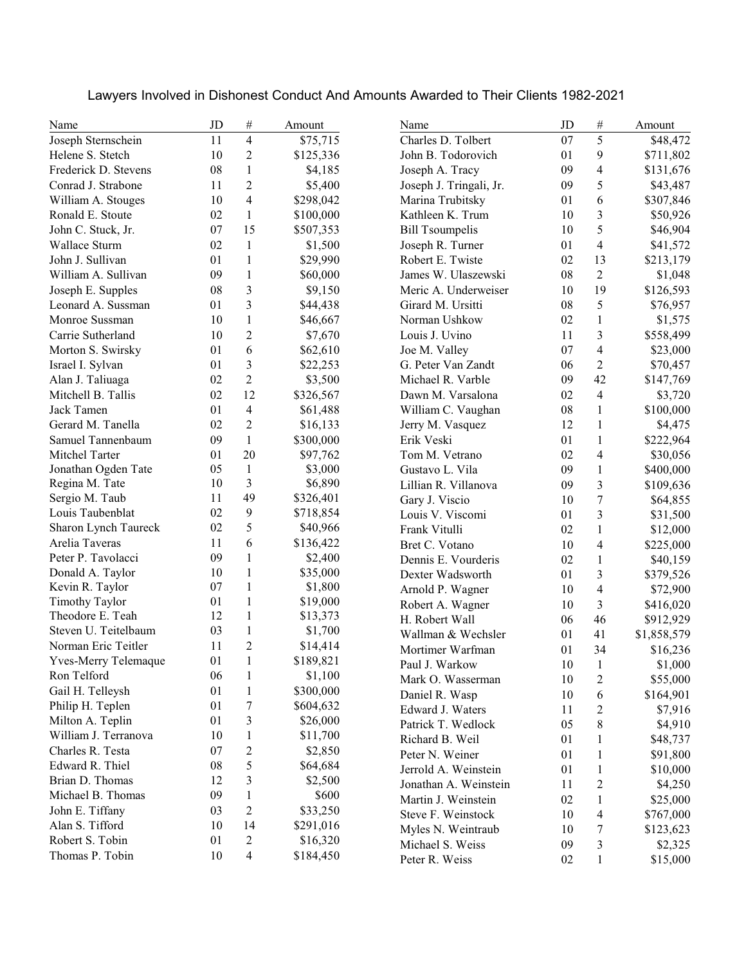| Name                  | JD | $\#$                     | Amount    | Name                    | JD     | $\#$                    | Amount      |
|-----------------------|----|--------------------------|-----------|-------------------------|--------|-------------------------|-------------|
| Joseph Sternschein    | 11 | $\overline{4}$           | \$75,715  | Charles D. Tolbert      | 07     | 5                       | \$48,472    |
| Helene S. Stetch      | 10 | $\overline{2}$           | \$125,336 | John B. Todorovich      | 01     | 9                       | \$711,802   |
| Frederick D. Stevens  | 08 | $\mathbf{1}$             | \$4,185   | Joseph A. Tracy         | 09     | 4                       | \$131,676   |
| Conrad J. Strabone    | 11 | 2                        | \$5,400   | Joseph J. Tringali, Jr. | 09     | 5                       | \$43,487    |
| William A. Stouges    | 10 | 4                        | \$298,042 | Marina Trubitsky        | 01     | 6                       | \$307,846   |
| Ronald E. Stoute      | 02 | $\mathbf{1}$             | \$100,000 | Kathleen K. Trum        | 10     | 3                       | \$50,926    |
| John C. Stuck, Jr.    | 07 | 15                       | \$507,353 | <b>Bill Tsoumpelis</b>  | 10     | 5                       | \$46,904    |
| Wallace Sturm         | 02 | 1                        | \$1,500   | Joseph R. Turner        | 01     | 4                       | \$41,572    |
| John J. Sullivan      | 01 | 1                        | \$29,990  | Robert E. Twiste        | 02     | 13                      | \$213,179   |
| William A. Sullivan   | 09 | 1                        | \$60,000  | James W. Ulaszewski     | 08     | $\overline{2}$          | \$1,048     |
| Joseph E. Supples     | 08 | 3                        | \$9,150   | Meric A. Underweiser    | 10     | 19                      | \$126,593   |
| Leonard A. Sussman    | 01 | 3                        | \$44,438  | Girard M. Ursitti       | 08     | 5                       | \$76,957    |
| Monroe Sussman        | 10 | 1                        | \$46,667  | Norman Ushkow           | 02     | $\mathbf{1}$            | \$1,575     |
| Carrie Sutherland     | 10 | $\mathfrak{2}$           | \$7,670   | Louis J. Uvino          | 11     | 3                       | \$558,499   |
| Morton S. Swirsky     | 01 | 6                        | \$62,610  | Joe M. Valley           | 07     | 4                       | \$23,000    |
| Israel I. Sylvan      | 01 | 3                        | \$22,253  | G. Peter Van Zandt      | 06     | $\overline{c}$          | \$70,457    |
| Alan J. Taliuaga      | 02 | $\overline{2}$           | \$3,500   | Michael R. Varble       | 09     | 42                      | \$147,769   |
| Mitchell B. Tallis    | 02 | 12                       | \$326,567 | Dawn M. Varsalona       | 02     | 4                       | \$3,720     |
| Jack Tamen            | 01 | $\overline{\mathcal{L}}$ | \$61,488  | William C. Vaughan      | 08     | 1                       | \$100,000   |
| Gerard M. Tanella     | 02 | $\overline{2}$           | \$16,133  | Jerry M. Vasquez        | 12     | $\mathbf{1}$            | \$4,475     |
| Samuel Tannenbaum     | 09 | $\mathbf{1}$             | \$300,000 | Erik Veski              | 01     | $\mathbf{1}$            | \$222,964   |
| Mitchel Tarter        | 01 | 20                       | \$97,762  | Tom M. Vetrano          | 02     | 4                       | \$30,056    |
| Jonathan Ogden Tate   | 05 | $\mathbf{1}$             | \$3,000   | Gustavo L. Vila         | 09     | $\mathbf{1}$            | \$400,000   |
| Regina M. Tate        | 10 | 3                        | \$6,890   | Lillian R. Villanova    | 09     | $\overline{\mathbf{3}}$ | \$109,636   |
| Sergio M. Taub        | 11 | 49                       | \$326,401 | Gary J. Viscio          | 10     | $\overline{7}$          | \$64,855    |
| Louis Taubenblat      | 02 | 9                        | \$718,854 | Louis V. Viscomi        | 01     | 3                       | \$31,500    |
| Sharon Lynch Taureck  | 02 | 5                        | \$40,966  | Frank Vitulli           | 02     | $\mathbf{1}$            | \$12,000    |
| Arelia Taveras        | 11 | 6                        | \$136,422 | Bret C. Votano          | 10     | 4                       | \$225,000   |
| Peter P. Tavolacci    | 09 | 1                        | \$2,400   | Dennis E. Vourderis     | 02     | $\mathbf{1}$            | \$40,159    |
| Donald A. Taylor      | 10 | 1                        | \$35,000  | Dexter Wadsworth        | 01     | 3                       | \$379,526   |
| Kevin R. Taylor       | 07 | 1                        | \$1,800   | Arnold P. Wagner        | 10     | 4                       | \$72,900    |
| <b>Timothy Taylor</b> | 01 | 1                        | \$19,000  | Robert A. Wagner        | 10     | 3                       | \$416,020   |
| Theodore E. Teah      | 12 | 1                        | \$13,373  | H. Robert Wall          | 06     | 46                      | \$912,929   |
| Steven U. Teitelbaum  | 03 | 1                        | \$1,700   | Wallman & Wechsler      | 01     | 41                      | \$1,858,579 |
| Norman Eric Teitler   | 11 | $\overline{c}$           | \$14,414  | Mortimer Warfman        | 01     | 34                      | \$16,236    |
| Yves-Merry Telemaque  | 01 | $\mathbf{1}$             | \$189,821 | Paul J. Warkow          | $10\,$ | $\mathbf{1}$            | \$1,000     |
| Ron Telford           | 06 | $\mathbf{1}$             | \$1,100   | Mark O. Wasserman       | 10     | 2                       | \$55,000    |
| Gail H. Telleysh      | 01 | 1                        | \$300,000 | Daniel R. Wasp          | 10     | 6                       | \$164,901   |
| Philip H. Teplen      | 01 | 7                        | \$604,632 | Edward J. Waters        | 11     | $\overline{c}$          | \$7,916     |
| Milton A. Teplin      | 01 | 3                        | \$26,000  | Patrick T. Wedlock      | 05     | 8                       | \$4,910     |
| William J. Terranova  | 10 | 1                        | \$11,700  | Richard B. Weil         | 01     | $\mathbf{1}$            | \$48,737    |
| Charles R. Testa      | 07 | $\overline{c}$           | \$2,850   | Peter N. Weiner         | 01     | $\mathbf{1}$            | \$91,800    |
| Edward R. Thiel       | 08 | 5                        | \$64,684  | Jerrold A. Weinstein    | 01     | $\mathbf{1}$            | \$10,000    |
| Brian D. Thomas       | 12 | 3                        | \$2,500   | Jonathan A. Weinstein   | 11     | $\overline{c}$          | \$4,250     |
| Michael B. Thomas     | 09 | 1                        | \$600     | Martin J. Weinstein     | 02     | $\mathbf{1}$            | \$25,000    |
| John E. Tiffany       | 03 | $\overline{c}$           | \$33,250  | Steve F. Weinstock      | 10     | 4                       | \$767,000   |
| Alan S. Tifford       | 10 | 14                       | \$291,016 | Myles N. Weintraub      | 10     | 7                       | \$123,623   |
| Robert S. Tobin       | 01 | $\overline{c}$           | \$16,320  | Michael S. Weiss        | 09     | 3                       | \$2,325     |
| Thomas P. Tobin       | 10 | $\overline{\mathbf{4}}$  | \$184,450 | Peter R. Weiss          | 02     | $\mathbf{1}$            | \$15,000    |